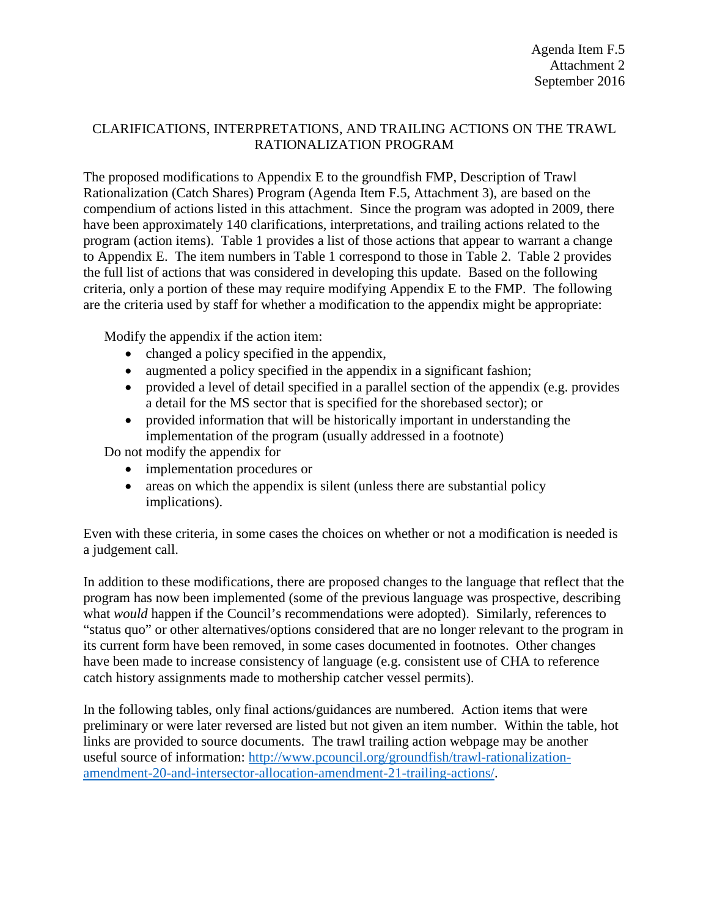## CLARIFICATIONS, INTERPRETATIONS, AND TRAILING ACTIONS ON THE TRAWL RATIONALIZATION PROGRAM

The proposed modifications to Appendix E to the groundfish FMP, Description of Trawl Rationalization (Catch Shares) Program (Agenda Item F.5, Attachment 3), are based on the compendium of actions listed in this attachment. Since the program was adopted in 2009, there have been approximately 140 clarifications, interpretations, and trailing actions related to the program (action items). Table 1 provides a list of those actions that appear to warrant a change to Appendix E. The item numbers in Table 1 correspond to those in Table 2. Table 2 provides the full list of actions that was considered in developing this update. Based on the following criteria, only a portion of these may require modifying Appendix E to the FMP. The following are the criteria used by staff for whether a modification to the appendix might be appropriate:

Modify the appendix if the action item:

- changed a policy specified in the appendix,
- augmented a policy specified in the appendix in a significant fashion;
- provided a level of detail specified in a parallel section of the appendix (e.g. provides a detail for the MS sector that is specified for the shorebased sector); or
- provided information that will be historically important in understanding the implementation of the program (usually addressed in a footnote)

Do not modify the appendix for

- implementation procedures or
- areas on which the appendix is silent (unless there are substantial policy implications).

Even with these criteria, in some cases the choices on whether or not a modification is needed is a judgement call.

In addition to these modifications, there are proposed changes to the language that reflect that the program has now been implemented (some of the previous language was prospective, describing what *would* happen if the Council's recommendations were adopted). Similarly, references to "status quo" or other alternatives/options considered that are no longer relevant to the program in its current form have been removed, in some cases documented in footnotes. Other changes have been made to increase consistency of language (e.g. consistent use of CHA to reference catch history assignments made to mothership catcher vessel permits).

In the following tables, only final actions/guidances are numbered. Action items that were preliminary or were later reversed are listed but not given an item number. Within the table, hot links are provided to source documents. The trawl trailing action webpage may be another useful source of information: [http://www.pcouncil.org/groundfish/trawl-rationalization](http://www.pcouncil.org/groundfish/trawl-rationalization-amendment-20-and-intersector-allocation-amendment-21-trailing-actions/)[amendment-20-and-intersector-allocation-amendment-21-trailing-actions/.](http://www.pcouncil.org/groundfish/trawl-rationalization-amendment-20-and-intersector-allocation-amendment-21-trailing-actions/)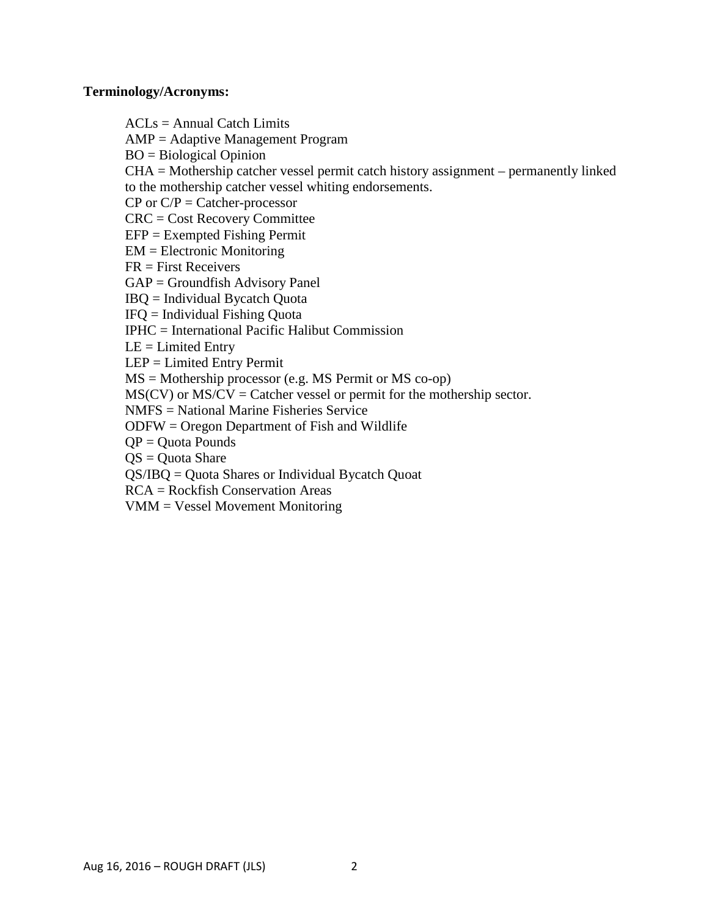## **Terminology/Acronyms:**

 $ACLs = Annual Catch Limits$ AMP = Adaptive Management Program BO = Biological Opinion CHA = Mothership catcher vessel permit catch history assignment – permanently linked to the mothership catcher vessel whiting endorsements.  $CP$  or  $C/P =$  Catcher-processor CRC = Cost Recovery Committee EFP = Exempted Fishing Permit EM = Electronic Monitoring FR = First Receivers GAP = Groundfish Advisory Panel IBQ = Individual Bycatch Quota IFQ = Individual Fishing Quota IPHC = International Pacific Halibut Commission  $LE = Limited$  Entry LEP = Limited Entry Permit MS = Mothership processor (e.g. MS Permit or MS co-op)  $MS(CV)$  or  $MS/CV =$  Catcher vessel or permit for the mothership sector. NMFS = National Marine Fisheries Service ODFW = Oregon Department of Fish and Wildlife  $QP = Quota$  Pounds  $QS = Quota$  Share QS/IBQ = Quota Shares or Individual Bycatch Quoat RCA = Rockfish Conservation Areas VMM = Vessel Movement Monitoring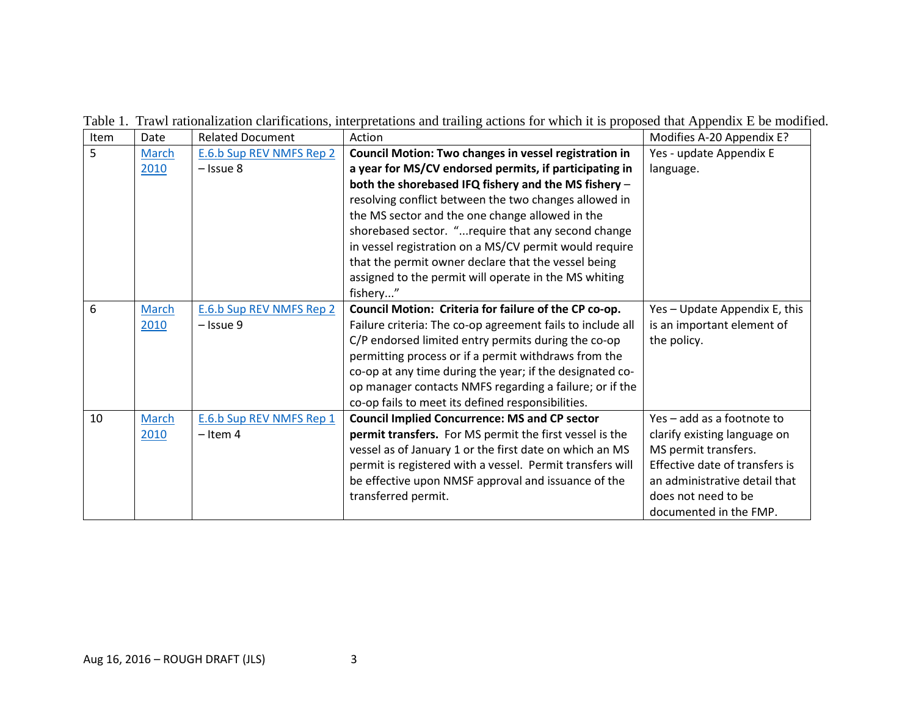| Item | Date  | <b>Related Document</b>  | Action                                                       | Modifies A-20 Appendix E?      |
|------|-------|--------------------------|--------------------------------------------------------------|--------------------------------|
| 5    | March | E.6.b Sup REV NMFS Rep 2 | <b>Council Motion: Two changes in vessel registration in</b> | Yes - update Appendix E        |
|      | 2010  | $-$ Issue 8              | a year for MS/CV endorsed permits, if participating in       | language.                      |
|      |       |                          | both the shorebased IFQ fishery and the MS fishery -         |                                |
|      |       |                          | resolving conflict between the two changes allowed in        |                                |
|      |       |                          | the MS sector and the one change allowed in the              |                                |
|      |       |                          | shorebased sector. " require that any second change          |                                |
|      |       |                          | in vessel registration on a MS/CV permit would require       |                                |
|      |       |                          | that the permit owner declare that the vessel being          |                                |
|      |       |                          | assigned to the permit will operate in the MS whiting        |                                |
|      |       |                          | fishery"                                                     |                                |
| 6    | March | E.6.b Sup REV NMFS Rep 2 | Council Motion: Criteria for failure of the CP co-op.        | Yes - Update Appendix E, this  |
|      | 2010  | - Issue 9                | Failure criteria: The co-op agreement fails to include all   | is an important element of     |
|      |       |                          | C/P endorsed limited entry permits during the co-op          | the policy.                    |
|      |       |                          | permitting process or if a permit withdraws from the         |                                |
|      |       |                          | co-op at any time during the year; if the designated co-     |                                |
|      |       |                          | op manager contacts NMFS regarding a failure; or if the      |                                |
|      |       |                          | co-op fails to meet its defined responsibilities.            |                                |
| 10   | March | E.6.b Sup REV NMFS Rep 1 | <b>Council Implied Concurrence: MS and CP sector</b>         | Yes - add as a footnote to     |
|      | 2010  | $-$ Item 4               | permit transfers. For MS permit the first vessel is the      | clarify existing language on   |
|      |       |                          | vessel as of January 1 or the first date on which an MS      | MS permit transfers.           |
|      |       |                          | permit is registered with a vessel. Permit transfers will    | Effective date of transfers is |
|      |       |                          | be effective upon NMSF approval and issuance of the          | an administrative detail that  |
|      |       |                          | transferred permit.                                          | does not need to be            |
|      |       |                          |                                                              | documented in the FMP.         |

Table 1. Trawl rationalization clarifications, interpretations and trailing actions for which it is proposed that Appendix E be modified.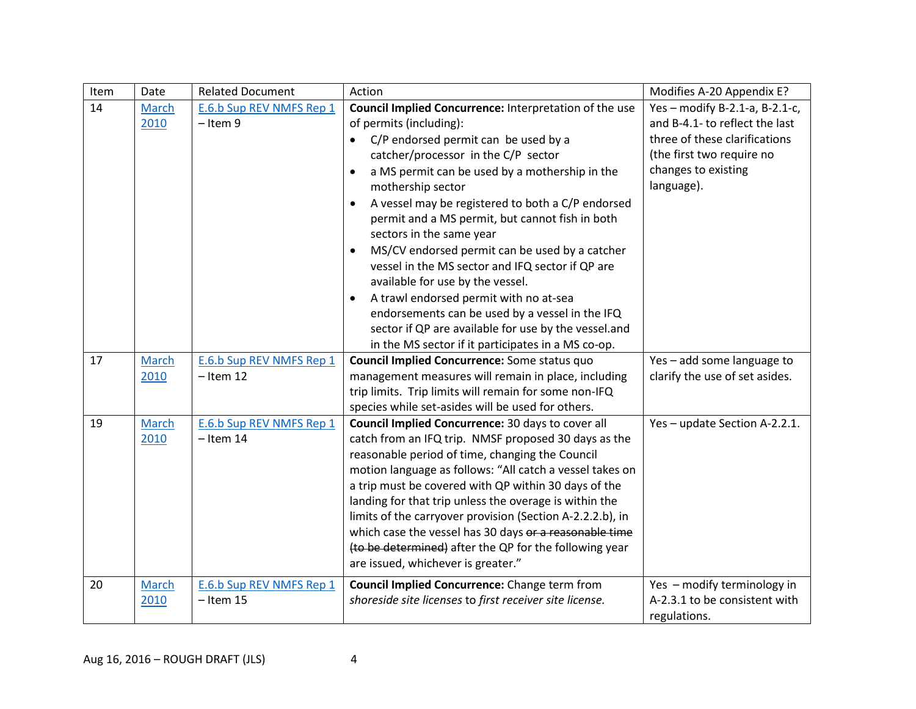| Item | Date                 | <b>Related Document</b>                 | Action                                                                                                                                                                                                                                                                                                                                                                                                                                                                                                                                                            | Modifies A-20 Appendix E?                                                                                                                                           |
|------|----------------------|-----------------------------------------|-------------------------------------------------------------------------------------------------------------------------------------------------------------------------------------------------------------------------------------------------------------------------------------------------------------------------------------------------------------------------------------------------------------------------------------------------------------------------------------------------------------------------------------------------------------------|---------------------------------------------------------------------------------------------------------------------------------------------------------------------|
| 14   | <b>March</b><br>2010 | E.6.b Sup REV NMFS Rep 1<br>$-$ Item 9  | Council Implied Concurrence: Interpretation of the use<br>of permits (including):<br>C/P endorsed permit can be used by a<br>catcher/processor in the C/P sector<br>a MS permit can be used by a mothership in the<br>$\bullet$<br>mothership sector<br>A vessel may be registered to both a C/P endorsed<br>$\bullet$<br>permit and a MS permit, but cannot fish in both                                                                                                                                                                                         | Yes - modify B-2.1-a, B-2.1-c,<br>and B-4.1- to reflect the last<br>three of these clarifications<br>(the first two require no<br>changes to existing<br>language). |
|      |                      |                                         | sectors in the same year<br>MS/CV endorsed permit can be used by a catcher<br>$\bullet$<br>vessel in the MS sector and IFQ sector if QP are<br>available for use by the vessel.<br>A trawl endorsed permit with no at-sea<br>$\bullet$<br>endorsements can be used by a vessel in the IFQ<br>sector if QP are available for use by the vessel.and<br>in the MS sector if it participates in a MS co-op.                                                                                                                                                           |                                                                                                                                                                     |
| 17   | March<br>2010        | E.6.b Sup REV NMFS Rep 1<br>$-$ Item 12 | Council Implied Concurrence: Some status quo<br>management measures will remain in place, including<br>trip limits. Trip limits will remain for some non-IFQ<br>species while set-asides will be used for others.                                                                                                                                                                                                                                                                                                                                                 | Yes - add some language to<br>clarify the use of set asides.                                                                                                        |
| 19   | <b>March</b><br>2010 | E.6.b Sup REV NMFS Rep 1<br>$-$ Item 14 | Council Implied Concurrence: 30 days to cover all<br>catch from an IFQ trip. NMSF proposed 30 days as the<br>reasonable period of time, changing the Council<br>motion language as follows: "All catch a vessel takes on<br>a trip must be covered with QP within 30 days of the<br>landing for that trip unless the overage is within the<br>limits of the carryover provision (Section A-2.2.2.b), in<br>which case the vessel has 30 days or a reasonable time<br>(to be determined) after the QP for the following year<br>are issued, whichever is greater." | Yes - update Section A-2.2.1.                                                                                                                                       |
| 20   | <b>March</b><br>2010 | E.6.b Sup REV NMFS Rep 1<br>$-$ Item 15 | <b>Council Implied Concurrence:</b> Change term from<br>shoreside site licenses to first receiver site license.                                                                                                                                                                                                                                                                                                                                                                                                                                                   | Yes - modify terminology in<br>A-2.3.1 to be consistent with<br>regulations.                                                                                        |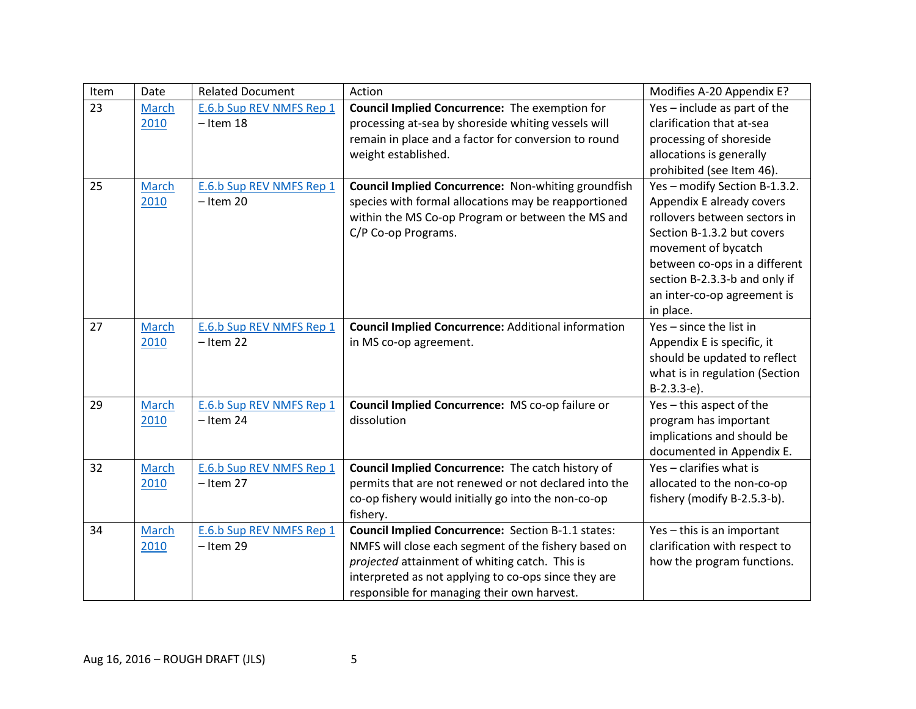| Item | Date         | <b>Related Document</b>  | Action                                                     | Modifies A-20 Appendix E?      |
|------|--------------|--------------------------|------------------------------------------------------------|--------------------------------|
| 23   | <b>March</b> | E.6.b Sup REV NMFS Rep 1 | <b>Council Implied Concurrence:</b> The exemption for      | Yes - include as part of the   |
|      | 2010         | $-$ Item 18              | processing at-sea by shoreside whiting vessels will        | clarification that at-sea      |
|      |              |                          | remain in place and a factor for conversion to round       | processing of shoreside        |
|      |              |                          | weight established.                                        | allocations is generally       |
|      |              |                          |                                                            | prohibited (see Item 46).      |
| 25   | March        | E.6.b Sup REV NMFS Rep 1 | <b>Council Implied Concurrence: Non-whiting groundfish</b> | Yes-modify Section B-1.3.2.    |
|      | 2010         | $-$ Item 20              | species with formal allocations may be reapportioned       | Appendix E already covers      |
|      |              |                          | within the MS Co-op Program or between the MS and          | rollovers between sectors in   |
|      |              |                          | C/P Co-op Programs.                                        | Section B-1.3.2 but covers     |
|      |              |                          |                                                            | movement of bycatch            |
|      |              |                          |                                                            | between co-ops in a different  |
|      |              |                          |                                                            | section B-2.3.3-b and only if  |
|      |              |                          |                                                            | an inter-co-op agreement is    |
|      |              |                          |                                                            | in place.                      |
| 27   | March        | E.6.b Sup REV NMFS Rep 1 | <b>Council Implied Concurrence: Additional information</b> | Yes - since the list in        |
|      | 2010         | $-$ Item 22              | in MS co-op agreement.                                     | Appendix E is specific, it     |
|      |              |                          |                                                            | should be updated to reflect   |
|      |              |                          |                                                            | what is in regulation (Section |
|      |              |                          |                                                            | $B-2.3.3-e$ ).                 |
| 29   | <b>March</b> | E.6.b Sup REV NMFS Rep 1 | Council Implied Concurrence: MS co-op failure or           | Yes - this aspect of the       |
|      | 2010         | $-$ Item 24              | dissolution                                                | program has important          |
|      |              |                          |                                                            | implications and should be     |
|      |              |                          |                                                            | documented in Appendix E.      |
| 32   | March        | E.6.b Sup REV NMFS Rep 1 | Council Implied Concurrence: The catch history of          | Yes - clarifies what is        |
|      | 2010         | $-$ Item 27              | permits that are not renewed or not declared into the      | allocated to the non-co-op     |
|      |              |                          | co-op fishery would initially go into the non-co-op        | fishery (modify B-2.5.3-b).    |
|      |              |                          | fishery.                                                   |                                |
| 34   | March        | E.6.b Sup REV NMFS Rep 1 | Council Implied Concurrence: Section B-1.1 states:         | Yes - this is an important     |
|      | 2010         | $-$ Item 29              | NMFS will close each segment of the fishery based on       | clarification with respect to  |
|      |              |                          | projected attainment of whiting catch. This is             | how the program functions.     |
|      |              |                          | interpreted as not applying to co-ops since they are       |                                |
|      |              |                          | responsible for managing their own harvest.                |                                |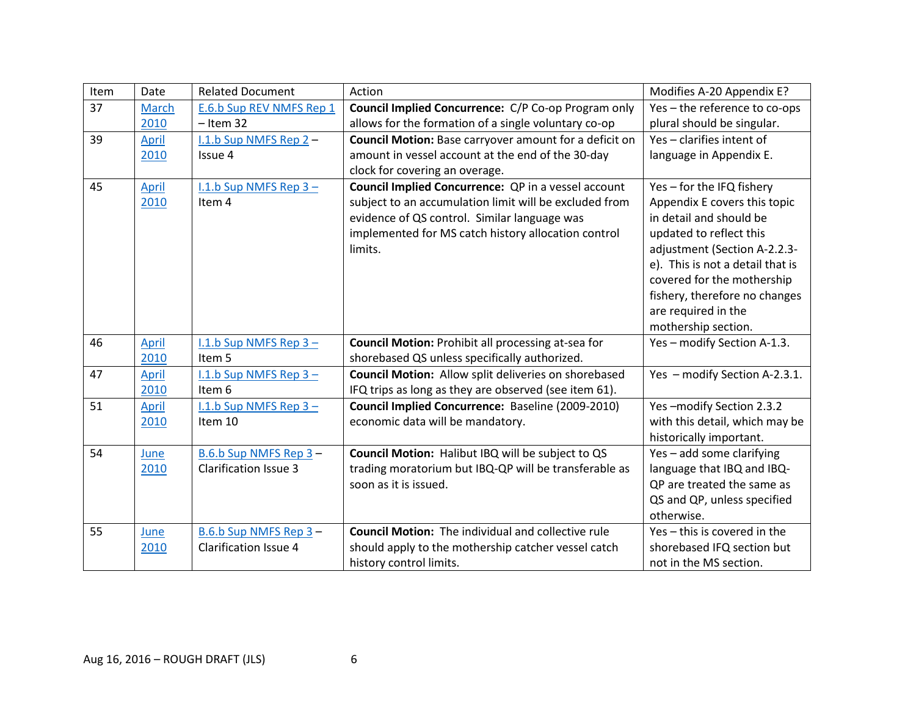| Item | Date         | <b>Related Document</b>      | Action                                                      | Modifies A-20 Appendix E?        |
|------|--------------|------------------------------|-------------------------------------------------------------|----------------------------------|
| 37   | <b>March</b> | E.6.b Sup REV NMFS Rep 1     | Council Implied Concurrence: C/P Co-op Program only         | Yes-the reference to co-ops      |
|      | 2010         | $-$ Item 32                  | allows for the formation of a single voluntary co-op        | plural should be singular.       |
| 39   | April        | $1.1.b$ Sup NMFS Rep 2 -     | Council Motion: Base carryover amount for a deficit on      | Yes - clarifies intent of        |
|      | 2010         | Issue 4                      | amount in vessel account at the end of the 30-day           | language in Appendix E.          |
|      |              |                              | clock for covering an overage.                              |                                  |
| 45   | <b>April</b> | I.1.b Sup NMFS Rep $3 -$     | Council Implied Concurrence: QP in a vessel account         | Yes - for the IFQ fishery        |
|      | 2010         | Item 4                       | subject to an accumulation limit will be excluded from      | Appendix E covers this topic     |
|      |              |                              | evidence of QS control. Similar language was                | in detail and should be          |
|      |              |                              | implemented for MS catch history allocation control         | updated to reflect this          |
|      |              |                              | limits.                                                     | adjustment (Section A-2.2.3-     |
|      |              |                              |                                                             | e). This is not a detail that is |
|      |              |                              |                                                             | covered for the mothership       |
|      |              |                              |                                                             | fishery, therefore no changes    |
|      |              |                              |                                                             | are required in the              |
|      |              |                              |                                                             | mothership section.              |
| 46   | April        | I.1.b Sup NMFS Rep $3 -$     | Council Motion: Prohibit all processing at-sea for          | Yes - modify Section A-1.3.      |
|      | 2010         | Item 5                       | shorebased QS unless specifically authorized.               |                                  |
| 47   | April        | I.1.b Sup NMFS Rep 3-        | <b>Council Motion:</b> Allow split deliveries on shorebased | Yes - modify Section A-2.3.1.    |
|      | 2010         | Item 6                       | IFQ trips as long as they are observed (see item 61).       |                                  |
| 51   | April        | $1.1.b$ Sup NMFS Rep 3 -     | Council Implied Concurrence: Baseline (2009-2010)           | Yes-modify Section 2.3.2         |
|      | 2010         | Item 10                      | economic data will be mandatory.                            | with this detail, which may be   |
|      |              |                              |                                                             | historically important.          |
| 54   | June         | B.6.b Sup NMFS Rep 3-        | Council Motion: Halibut IBQ will be subject to QS           | Yes - add some clarifying        |
|      | 2010         | <b>Clarification Issue 3</b> | trading moratorium but IBQ-QP will be transferable as       | language that IBQ and IBQ-       |
|      |              |                              | soon as it is issued.                                       | QP are treated the same as       |
|      |              |                              |                                                             | QS and QP, unless specified      |
|      |              |                              |                                                             | otherwise.                       |
| 55   | June         | B.6.b Sup NMFS Rep 3-        | <b>Council Motion:</b> The individual and collective rule   | Yes - this is covered in the     |
|      | 2010         | <b>Clarification Issue 4</b> | should apply to the mothership catcher vessel catch         | shorebased IFQ section but       |
|      |              |                              | history control limits.                                     | not in the MS section.           |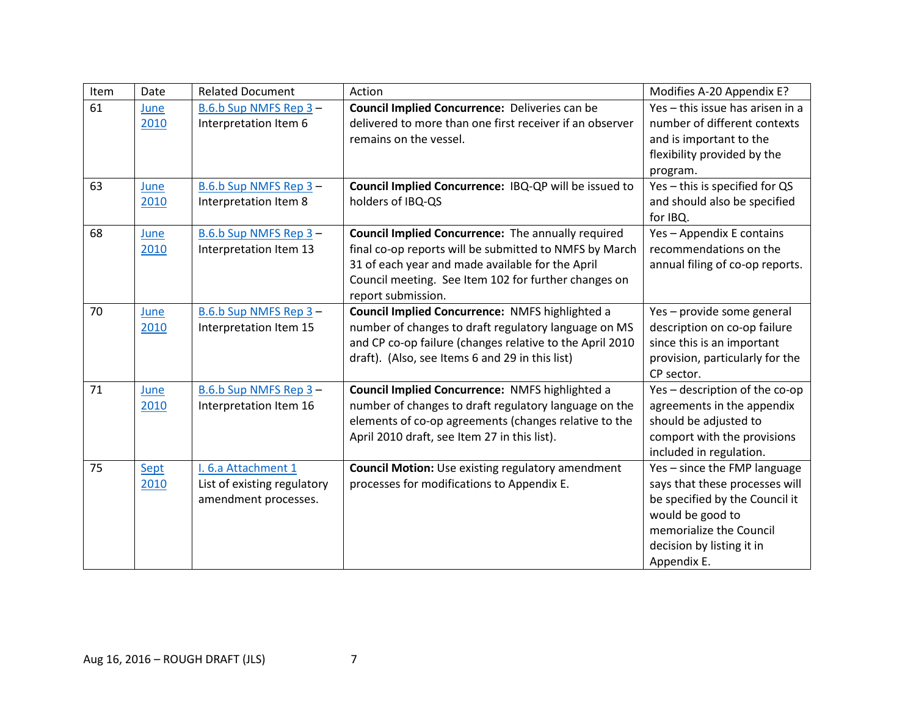| Item | Date         | <b>Related Document</b>                                                    | Action                                                                                                                                                                                                                                                | Modifies A-20 Appendix E?                                                                                                                                                                   |
|------|--------------|----------------------------------------------------------------------------|-------------------------------------------------------------------------------------------------------------------------------------------------------------------------------------------------------------------------------------------------------|---------------------------------------------------------------------------------------------------------------------------------------------------------------------------------------------|
| 61   | June<br>2010 | B.6.b Sup NMFS Rep 3-<br>Interpretation Item 6                             | Council Implied Concurrence: Deliveries can be<br>delivered to more than one first receiver if an observer<br>remains on the vessel.                                                                                                                  | Yes - this issue has arisen in a<br>number of different contexts<br>and is important to the<br>flexibility provided by the<br>program.                                                      |
| 63   | June<br>2010 | B.6.b Sup NMFS Rep 3-<br>Interpretation Item 8                             | Council Implied Concurrence: IBQ-QP will be issued to<br>holders of IBQ-QS                                                                                                                                                                            | Yes - this is specified for QS<br>and should also be specified<br>for IBQ.                                                                                                                  |
| 68   | June<br>2010 | B.6.b Sup NMFS Rep 3-<br>Interpretation Item 13                            | <b>Council Implied Concurrence:</b> The annually required<br>final co-op reports will be submitted to NMFS by March<br>31 of each year and made available for the April<br>Council meeting. See Item 102 for further changes on<br>report submission. | Yes - Appendix E contains<br>recommendations on the<br>annual filing of co-op reports.                                                                                                      |
| 70   | June<br>2010 | B.6.b Sup NMFS Rep 3-<br>Interpretation Item 15                            | Council Implied Concurrence: NMFS highlighted a<br>number of changes to draft regulatory language on MS<br>and CP co-op failure (changes relative to the April 2010<br>draft). (Also, see Items 6 and 29 in this list)                                | Yes - provide some general<br>description on co-op failure<br>since this is an important<br>provision, particularly for the<br>CP sector.                                                   |
| 71   | June<br>2010 | B.6.b Sup NMFS Rep 3-<br>Interpretation Item 16                            | Council Implied Concurrence: NMFS highlighted a<br>number of changes to draft regulatory language on the<br>elements of co-op agreements (changes relative to the<br>April 2010 draft, see Item 27 in this list).                                     | Yes-description of the co-op<br>agreements in the appendix<br>should be adjusted to<br>comport with the provisions<br>included in regulation.                                               |
| 75   | Sept<br>2010 | I. 6.a Attachment 1<br>List of existing regulatory<br>amendment processes. | <b>Council Motion:</b> Use existing regulatory amendment<br>processes for modifications to Appendix E.                                                                                                                                                | Yes - since the FMP language<br>says that these processes will<br>be specified by the Council it<br>would be good to<br>memorialize the Council<br>decision by listing it in<br>Appendix E. |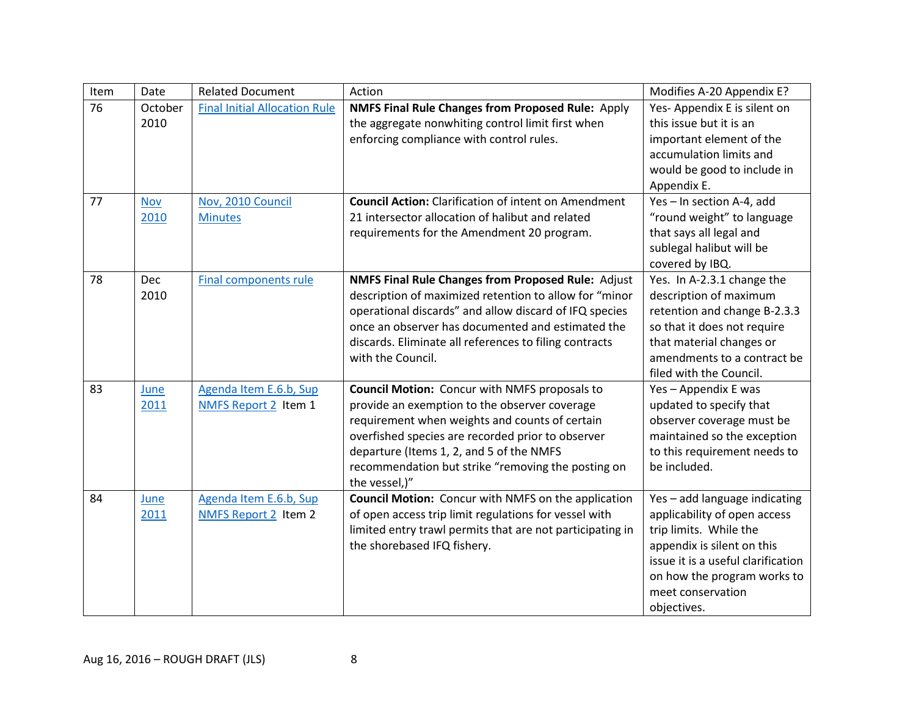| Item | Date       | <b>Related Document</b>              | Action                                                      | Modifies A-20 Appendix E?          |
|------|------------|--------------------------------------|-------------------------------------------------------------|------------------------------------|
| 76   | October    | <b>Final Initial Allocation Rule</b> | <b>NMFS Final Rule Changes from Proposed Rule: Apply</b>    | Yes-Appendix E is silent on        |
|      | 2010       |                                      | the aggregate nonwhiting control limit first when           | this issue but it is an            |
|      |            |                                      | enforcing compliance with control rules.                    | important element of the           |
|      |            |                                      |                                                             | accumulation limits and            |
|      |            |                                      |                                                             | would be good to include in        |
|      |            |                                      |                                                             | Appendix E.                        |
| 77   | <b>Nov</b> | Nov, 2010 Council                    | <b>Council Action:</b> Clarification of intent on Amendment | Yes-In section A-4, add            |
|      | 2010       | <b>Minutes</b>                       | 21 intersector allocation of halibut and related            | "round weight" to language         |
|      |            |                                      | requirements for the Amendment 20 program.                  | that says all legal and            |
|      |            |                                      |                                                             | sublegal halibut will be           |
|      |            |                                      |                                                             | covered by IBQ.                    |
| 78   | <b>Dec</b> | <b>Final components rule</b>         | <b>NMFS Final Rule Changes from Proposed Rule: Adjust</b>   | Yes. In A-2.3.1 change the         |
|      | 2010       |                                      | description of maximized retention to allow for "minor      | description of maximum             |
|      |            |                                      | operational discards" and allow discard of IFQ species      | retention and change B-2.3.3       |
|      |            |                                      | once an observer has documented and estimated the           | so that it does not require        |
|      |            |                                      | discards. Eliminate all references to filing contracts      | that material changes or           |
|      |            |                                      | with the Council.                                           | amendments to a contract be        |
|      |            |                                      |                                                             | filed with the Council.            |
| 83   | June       | Agenda Item E.6.b, Sup               | <b>Council Motion:</b> Concur with NMFS proposals to        | Yes - Appendix E was               |
|      | 2011       | NMFS Report 2 Item 1                 | provide an exemption to the observer coverage               | updated to specify that            |
|      |            |                                      | requirement when weights and counts of certain              | observer coverage must be          |
|      |            |                                      | overfished species are recorded prior to observer           | maintained so the exception        |
|      |            |                                      | departure (Items 1, 2, and 5 of the NMFS                    | to this requirement needs to       |
|      |            |                                      | recommendation but strike "removing the posting on          | be included.                       |
|      |            |                                      | the vessel,)"                                               |                                    |
| 84   | June       | Agenda Item E.6.b, Sup               | <b>Council Motion:</b> Concur with NMFS on the application  | Yes - add language indicating      |
|      | 2011       | NMFS Report 2 Item 2                 | of open access trip limit regulations for vessel with       | applicability of open access       |
|      |            |                                      | limited entry trawl permits that are not participating in   | trip limits. While the             |
|      |            |                                      | the shorebased IFQ fishery.                                 | appendix is silent on this         |
|      |            |                                      |                                                             | issue it is a useful clarification |
|      |            |                                      |                                                             | on how the program works to        |
|      |            |                                      |                                                             | meet conservation                  |
|      |            |                                      |                                                             | objectives.                        |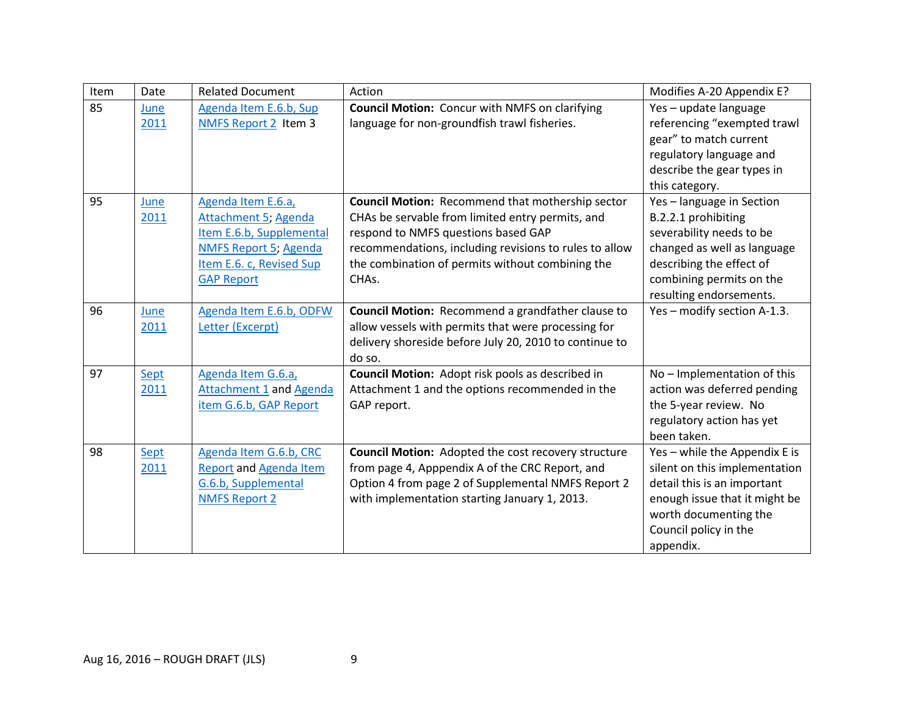| Item | Date         | <b>Related Document</b>                                                                                                                                 | Action                                                                                                                                                                                                                                                                                 | Modifies A-20 Appendix E?                                                                                                                                                                     |
|------|--------------|---------------------------------------------------------------------------------------------------------------------------------------------------------|----------------------------------------------------------------------------------------------------------------------------------------------------------------------------------------------------------------------------------------------------------------------------------------|-----------------------------------------------------------------------------------------------------------------------------------------------------------------------------------------------|
| 85   | June<br>2011 | Agenda Item E.6.b, Sup<br>NMFS Report 2 Item 3                                                                                                          | <b>Council Motion:</b> Concur with NMFS on clarifying<br>language for non-groundfish trawl fisheries.                                                                                                                                                                                  | Yes - update language<br>referencing "exempted trawl<br>gear" to match current                                                                                                                |
|      |              |                                                                                                                                                         |                                                                                                                                                                                                                                                                                        | regulatory language and<br>describe the gear types in<br>this category.                                                                                                                       |
| 95   | June<br>2011 | Agenda Item E.6.a,<br>Attachment 5; Agenda<br>Item E.6.b, Supplemental<br><b>NMFS Report 5; Agenda</b><br>Item E.6. c, Revised Sup<br><b>GAP Report</b> | <b>Council Motion: Recommend that mothership sector</b><br>CHAs be servable from limited entry permits, and<br>respond to NMFS questions based GAP<br>recommendations, including revisions to rules to allow<br>the combination of permits without combining the<br>CHA <sub>s</sub> . | Yes-language in Section<br>B.2.2.1 prohibiting<br>severability needs to be<br>changed as well as language<br>describing the effect of<br>combining permits on the<br>resulting endorsements.  |
| 96   | June<br>2011 | Agenda Item E.6.b, ODFW<br>Letter (Excerpt)                                                                                                             | Council Motion: Recommend a grandfather clause to<br>allow vessels with permits that were processing for<br>delivery shoreside before July 20, 2010 to continue to<br>do so.                                                                                                           | Yes - modify section A-1.3.                                                                                                                                                                   |
| 97   | Sept<br>2011 | Agenda Item G.6.a,<br><b>Attachment 1 and Agenda</b><br>item G.6.b, GAP Report                                                                          | <b>Council Motion:</b> Adopt risk pools as described in<br>Attachment 1 and the options recommended in the<br>GAP report.                                                                                                                                                              | No - Implementation of this<br>action was deferred pending<br>the 5-year review. No<br>regulatory action has yet<br>been taken.                                                               |
| 98   | Sept<br>2011 | Agenda Item G.6.b, CRC<br><b>Report and Agenda Item</b><br>G.6.b, Supplemental<br><b>NMFS Report 2</b>                                                  | <b>Council Motion:</b> Adopted the cost recovery structure<br>from page 4, Apppendix A of the CRC Report, and<br>Option 4 from page 2 of Supplemental NMFS Report 2<br>with implementation starting January 1, 2013.                                                                   | Yes - while the Appendix E is<br>silent on this implementation<br>detail this is an important<br>enough issue that it might be<br>worth documenting the<br>Council policy in the<br>appendix. |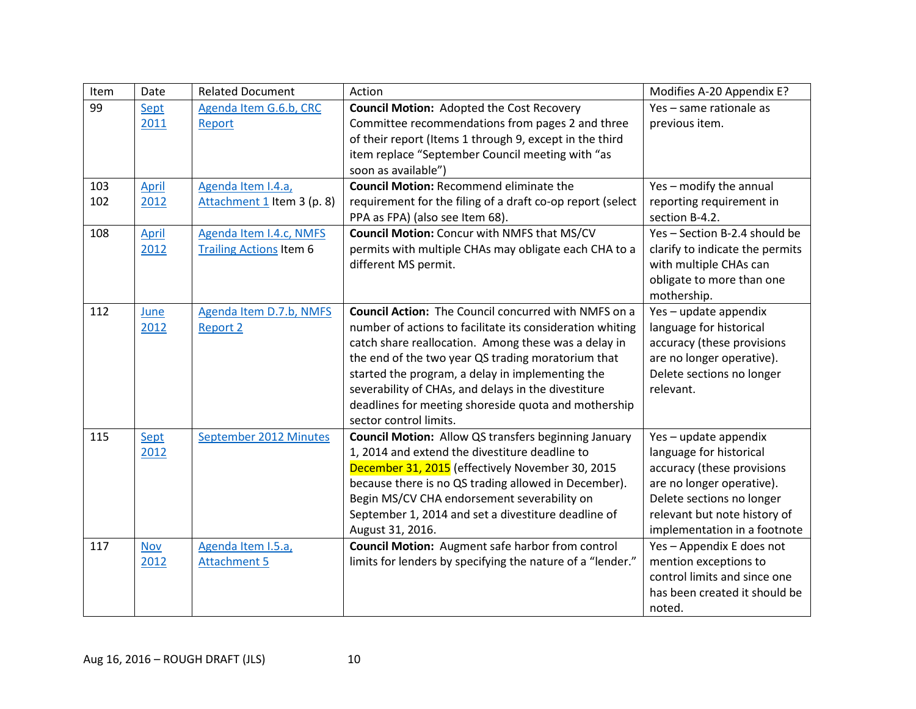| Item | Date         | <b>Related Document</b>        | Action                                                      | Modifies A-20 Appendix E?       |
|------|--------------|--------------------------------|-------------------------------------------------------------|---------------------------------|
| 99   | Sept         | Agenda Item G.6.b, CRC         | <b>Council Motion: Adopted the Cost Recovery</b>            | Yes - same rationale as         |
|      | 2011         | Report                         | Committee recommendations from pages 2 and three            | previous item.                  |
|      |              |                                | of their report (Items 1 through 9, except in the third     |                                 |
|      |              |                                | item replace "September Council meeting with "as            |                                 |
|      |              |                                | soon as available")                                         |                                 |
| 103  | <b>April</b> | Agenda Item I.4.a,             | <b>Council Motion: Recommend eliminate the</b>              | Yes - modify the annual         |
| 102  | 2012         | Attachment 1 Item 3 (p. 8)     | requirement for the filing of a draft co-op report (select  | reporting requirement in        |
|      |              |                                | PPA as FPA) (also see Item 68).                             | section B-4.2.                  |
| 108  | <b>April</b> | Agenda Item I.4.c, NMFS        | <b>Council Motion: Concur with NMFS that MS/CV</b>          | Yes-Section B-2.4 should be     |
|      | 2012         | <b>Trailing Actions Item 6</b> | permits with multiple CHAs may obligate each CHA to a       | clarify to indicate the permits |
|      |              |                                | different MS permit.                                        | with multiple CHAs can          |
|      |              |                                |                                                             | obligate to more than one       |
|      |              |                                |                                                             | mothership.                     |
| 112  | June         | Agenda Item D.7.b, NMFS        | <b>Council Action:</b> The Council concurred with NMFS on a | Yes-update appendix             |
|      | 2012         | <b>Report 2</b>                | number of actions to facilitate its consideration whiting   | language for historical         |
|      |              |                                | catch share reallocation. Among these was a delay in        | accuracy (these provisions      |
|      |              |                                | the end of the two year QS trading moratorium that          | are no longer operative).       |
|      |              |                                | started the program, a delay in implementing the            | Delete sections no longer       |
|      |              |                                | severability of CHAs, and delays in the divestiture         | relevant.                       |
|      |              |                                | deadlines for meeting shoreside quota and mothership        |                                 |
|      |              |                                | sector control limits.                                      |                                 |
| 115  | Sept         | September 2012 Minutes         | <b>Council Motion:</b> Allow QS transfers beginning January | Yes - update appendix           |
|      | 2012         |                                | 1, 2014 and extend the divestiture deadline to              | language for historical         |
|      |              |                                | December 31, 2015 (effectively November 30, 2015            | accuracy (these provisions      |
|      |              |                                | because there is no QS trading allowed in December).        | are no longer operative).       |
|      |              |                                | Begin MS/CV CHA endorsement severability on                 | Delete sections no longer       |
|      |              |                                | September 1, 2014 and set a divestiture deadline of         | relevant but note history of    |
|      |              |                                | August 31, 2016.                                            | implementation in a footnote    |
| 117  | <b>Nov</b>   | Agenda Item I.5.a,             | <b>Council Motion:</b> Augment safe harbor from control     | Yes - Appendix E does not       |
|      | 2012         | <b>Attachment 5</b>            | limits for lenders by specifying the nature of a "lender."  | mention exceptions to           |
|      |              |                                |                                                             | control limits and since one    |
|      |              |                                |                                                             | has been created it should be   |
|      |              |                                |                                                             | noted.                          |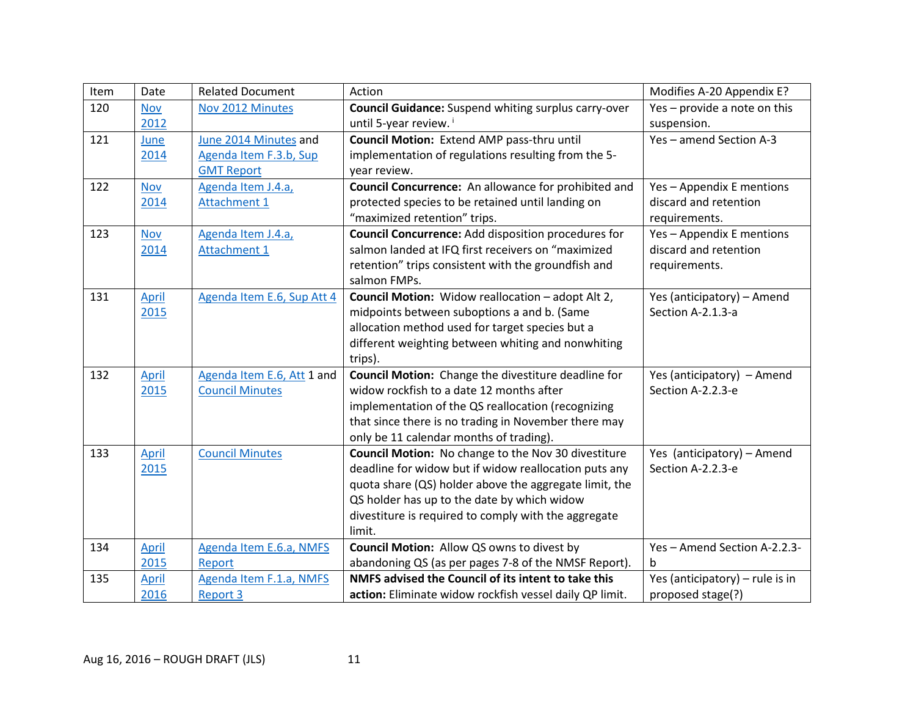| Item | Date         | <b>Related Document</b>    | Action                                                      | Modifies A-20 Appendix E?       |
|------|--------------|----------------------------|-------------------------------------------------------------|---------------------------------|
| 120  | <b>Nov</b>   | Nov 2012 Minutes           | <b>Council Guidance:</b> Suspend whiting surplus carry-over | Yes - provide a note on this    |
|      | 2012         |                            | until 5-year review.                                        | suspension.                     |
| 121  | June         | June 2014 Minutes and      | Council Motion: Extend AMP pass-thru until                  | Yes-amend Section A-3           |
|      | 2014         | Agenda Item F.3.b, Sup     | implementation of regulations resulting from the 5-         |                                 |
|      |              | <b>GMT Report</b>          | year review.                                                |                                 |
| 122  | <b>Nov</b>   | Agenda Item J.4.a,         | Council Concurrence: An allowance for prohibited and        | Yes - Appendix E mentions       |
|      | 2014         | <b>Attachment 1</b>        | protected species to be retained until landing on           | discard and retention           |
|      |              |                            | "maximized retention" trips.                                | requirements.                   |
| 123  | <b>Nov</b>   | Agenda Item J.4.a,         | <b>Council Concurrence: Add disposition procedures for</b>  | Yes - Appendix E mentions       |
|      | 2014         | <b>Attachment 1</b>        | salmon landed at IFQ first receivers on "maximized          | discard and retention           |
|      |              |                            | retention" trips consistent with the groundfish and         | requirements.                   |
|      |              |                            | salmon FMPs.                                                |                                 |
| 131  | April        | Agenda Item E.6, Sup Att 4 | Council Motion: Widow reallocation - adopt Alt 2,           | Yes (anticipatory) - Amend      |
|      | 2015         |                            | midpoints between suboptions a and b. (Same                 | Section A-2.1.3-a               |
|      |              |                            | allocation method used for target species but a             |                                 |
|      |              |                            | different weighting between whiting and nonwhiting          |                                 |
|      |              |                            | trips).                                                     |                                 |
| 132  | <b>April</b> | Agenda Item E.6, Att 1 and | Council Motion: Change the divestiture deadline for         | Yes (anticipatory) - Amend      |
|      | 2015         | <b>Council Minutes</b>     | widow rockfish to a date 12 months after                    | Section A-2.2.3-e               |
|      |              |                            | implementation of the QS reallocation (recognizing          |                                 |
|      |              |                            | that since there is no trading in November there may        |                                 |
|      |              |                            | only be 11 calendar months of trading).                     |                                 |
| 133  | April        | <b>Council Minutes</b>     | Council Motion: No change to the Nov 30 divestiture         | Yes (anticipatory) - Amend      |
|      | 2015         |                            | deadline for widow but if widow reallocation puts any       | Section A-2.2.3-e               |
|      |              |                            | quota share (QS) holder above the aggregate limit, the      |                                 |
|      |              |                            | QS holder has up to the date by which widow                 |                                 |
|      |              |                            | divestiture is required to comply with the aggregate        |                                 |
|      |              |                            | limit.                                                      |                                 |
| 134  | <b>April</b> | Agenda Item E.6.a, NMFS    | Council Motion: Allow QS owns to divest by                  | Yes-Amend Section A-2.2.3-      |
|      | 2015         | Report                     | abandoning QS (as per pages 7-8 of the NMSF Report).        | h                               |
| 135  | <b>April</b> | Agenda Item F.1.a, NMFS    | NMFS advised the Council of its intent to take this         | Yes (anticipatory) - rule is in |
|      | 2016         | <b>Report 3</b>            | action: Eliminate widow rockfish vessel daily QP limit.     | proposed stage(?)               |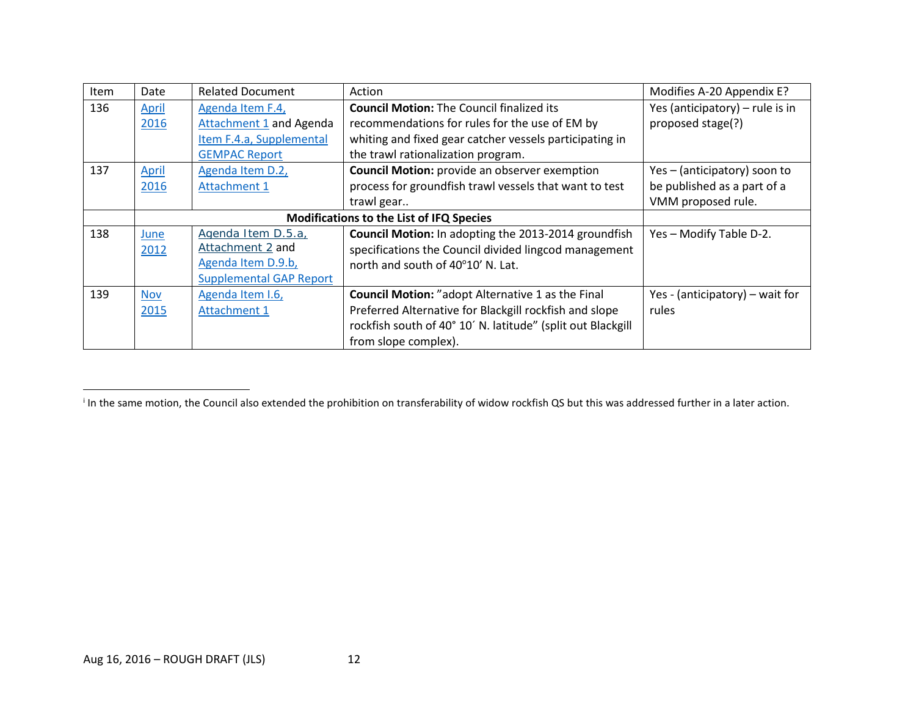<span id="page-11-0"></span>

| Item | Date                                            | <b>Related Document</b>        | Action                                                      | Modifies A-20 Appendix E?       |
|------|-------------------------------------------------|--------------------------------|-------------------------------------------------------------|---------------------------------|
| 136  | <b>April</b>                                    | Agenda Item F.4,               | <b>Council Motion: The Council finalized its</b>            | Yes (anticipatory) - rule is in |
|      | 2016                                            | <b>Attachment 1 and Agenda</b> | recommendations for rules for the use of EM by              | proposed stage(?)               |
|      |                                                 | Item F.4.a, Supplemental       | whiting and fixed gear catcher vessels participating in     |                                 |
|      |                                                 | <b>GEMPAC Report</b>           | the trawl rationalization program.                          |                                 |
| 137  | April                                           | Agenda Item D.2,               | <b>Council Motion:</b> provide an observer exemption        | Yes - (anticipatory) soon to    |
|      | 2016                                            | <b>Attachment 1</b>            | process for groundfish trawl vessels that want to test      | be published as a part of a     |
|      |                                                 |                                | trawl gear                                                  | VMM proposed rule.              |
|      | <b>Modifications to the List of IFQ Species</b> |                                |                                                             |                                 |
| 138  | June                                            | Agenda Item D.5.a,             | Council Motion: In adopting the 2013-2014 groundfish        | Yes - Modify Table D-2.         |
|      | 2012                                            | Attachment 2 and               | specifications the Council divided lingcod management       |                                 |
|      |                                                 | Agenda Item D.9.b,             | north and south of 40°10' N. Lat.                           |                                 |
|      |                                                 | <b>Supplemental GAP Report</b> |                                                             |                                 |
| 139  | <b>Nov</b>                                      | Agenda Item I.6,               | <b>Council Motion:</b> "adopt Alternative 1 as the Final    | Yes - (anticipatory) – wait for |
|      | 2015                                            | <b>Attachment 1</b>            | Preferred Alternative for Blackgill rockfish and slope      | rules                           |
|      |                                                 |                                | rockfish south of 40° 10' N. latitude" (split out Blackgill |                                 |
|      |                                                 |                                | from slope complex).                                        |                                 |

l

<sup>&</sup>lt;sup>i</sup> In the same motion, the Council also extended the prohibition on transferability of widow rockfish QS but this was addressed further in a later action.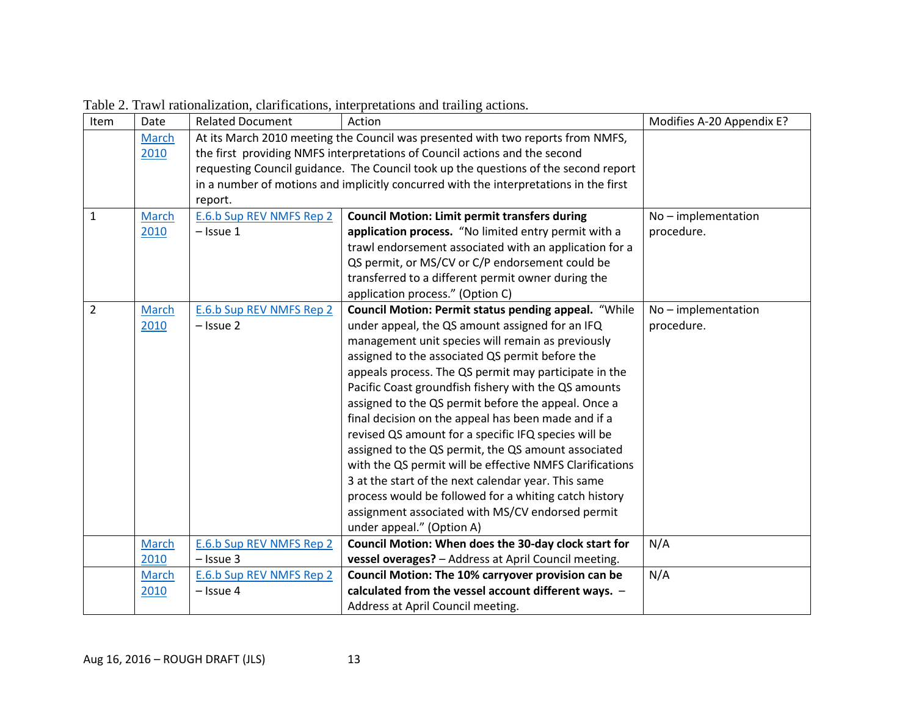| Item           | Date  | <b>Related Document</b>                                                         | Action                                                                                | Modifies A-20 Appendix E? |
|----------------|-------|---------------------------------------------------------------------------------|---------------------------------------------------------------------------------------|---------------------------|
|                | March | At its March 2010 meeting the Council was presented with two reports from NMFS, |                                                                                       |                           |
|                | 2010  |                                                                                 | the first providing NMFS interpretations of Council actions and the second            |                           |
|                |       |                                                                                 | requesting Council guidance. The Council took up the questions of the second report   |                           |
|                |       |                                                                                 | in a number of motions and implicitly concurred with the interpretations in the first |                           |
|                |       | report.                                                                         |                                                                                       |                           |
| $\mathbf 1$    | March | E.6.b Sup REV NMFS Rep 2                                                        | <b>Council Motion: Limit permit transfers during</b>                                  | $No$ – implementation     |
|                | 2010  | $-$ Issue 1                                                                     | application process. "No limited entry permit with a                                  | procedure.                |
|                |       |                                                                                 | trawl endorsement associated with an application for a                                |                           |
|                |       |                                                                                 | QS permit, or MS/CV or C/P endorsement could be                                       |                           |
|                |       |                                                                                 | transferred to a different permit owner during the                                    |                           |
|                |       |                                                                                 | application process." (Option C)                                                      |                           |
| $\overline{2}$ | March | <b>E.6.b Sup REV NMFS Rep 2</b>                                                 | Council Motion: Permit status pending appeal. "While                                  | No-implementation         |
|                | 2010  | $-$ Issue 2                                                                     | under appeal, the QS amount assigned for an IFQ                                       | procedure.                |
|                |       |                                                                                 | management unit species will remain as previously                                     |                           |
|                |       |                                                                                 | assigned to the associated QS permit before the                                       |                           |
|                |       |                                                                                 | appeals process. The QS permit may participate in the                                 |                           |
|                |       |                                                                                 | Pacific Coast groundfish fishery with the QS amounts                                  |                           |
|                |       |                                                                                 | assigned to the QS permit before the appeal. Once a                                   |                           |
|                |       |                                                                                 | final decision on the appeal has been made and if a                                   |                           |
|                |       |                                                                                 | revised QS amount for a specific IFQ species will be                                  |                           |
|                |       |                                                                                 | assigned to the QS permit, the QS amount associated                                   |                           |
|                |       |                                                                                 | with the QS permit will be effective NMFS Clarifications                              |                           |
|                |       |                                                                                 | 3 at the start of the next calendar year. This same                                   |                           |
|                |       |                                                                                 | process would be followed for a whiting catch history                                 |                           |
|                |       |                                                                                 | assignment associated with MS/CV endorsed permit                                      |                           |
|                |       |                                                                                 | under appeal." (Option A)                                                             |                           |
|                | March | E.6.b Sup REV NMFS Rep 2                                                        | Council Motion: When does the 30-day clock start for                                  | N/A                       |
|                | 2010  | $-$ Issue 3                                                                     | vessel overages? - Address at April Council meeting.                                  |                           |
|                | March | E.6.b Sup REV NMFS Rep 2                                                        | Council Motion: The 10% carryover provision can be                                    | N/A                       |
|                | 2010  | $-$ Issue 4                                                                     | calculated from the vessel account different ways. -                                  |                           |
|                |       |                                                                                 | Address at April Council meeting.                                                     |                           |

Table 2. Trawl rationalization, clarifications, interpretations and trailing actions.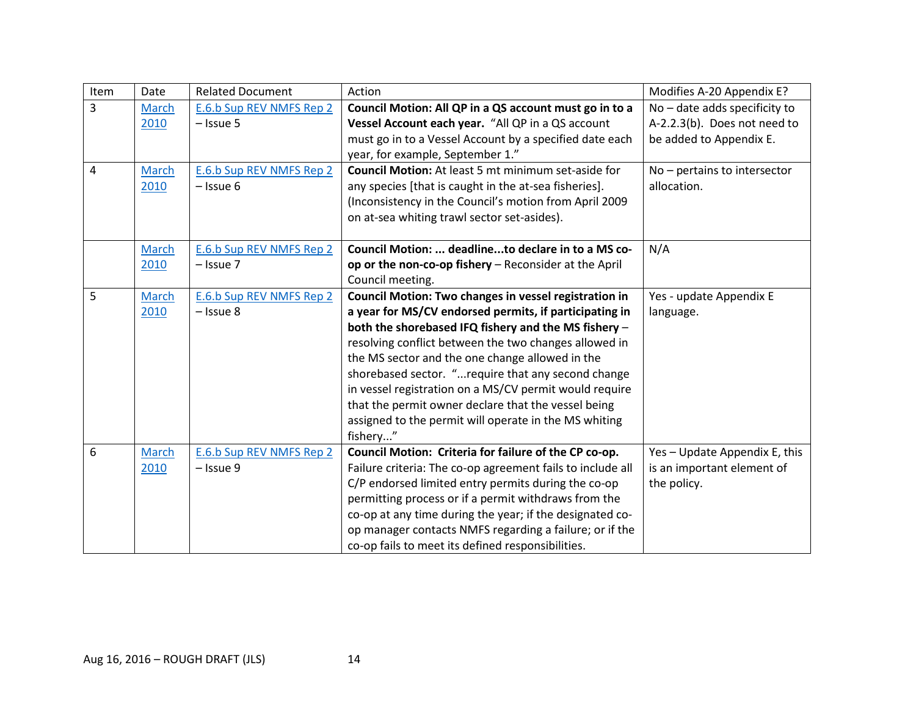| Item | Date         | <b>Related Document</b>  | Action                                                     | Modifies A-20 Appendix E?       |
|------|--------------|--------------------------|------------------------------------------------------------|---------------------------------|
| 3    | March        | E.6.b Sup REV NMFS Rep 2 | Council Motion: All QP in a QS account must go in to a     | $No$ – date adds specificity to |
|      | 2010         | $-$ Issue 5              | Vessel Account each year. "All QP in a QS account          | A-2.2.3(b). Does not need to    |
|      |              |                          | must go in to a Vessel Account by a specified date each    | be added to Appendix E.         |
|      |              |                          | year, for example, September 1."                           |                                 |
| 4    | March        | E.6.b Sup REV NMFS Rep 2 | <b>Council Motion:</b> At least 5 mt minimum set-aside for | No - pertains to intersector    |
|      | 2010         | $-$ Issue 6              | any species [that is caught in the at-sea fisheries].      | allocation.                     |
|      |              |                          | (Inconsistency in the Council's motion from April 2009     |                                 |
|      |              |                          | on at-sea whiting trawl sector set-asides).                |                                 |
|      |              |                          |                                                            |                                 |
|      | March        | E.6.b Sup REV NMFS Rep 2 | Council Motion:  deadlineto declare in to a MS co-         | N/A                             |
|      | 2010         | $-$ Issue $7$            | op or the non-co-op fishery - Reconsider at the April      |                                 |
|      |              |                          | Council meeting.                                           |                                 |
| 5    | March        | E.6.b Sup REV NMFS Rep 2 | Council Motion: Two changes in vessel registration in      | Yes - update Appendix E         |
|      | 2010         | $-$ Issue 8              | a year for MS/CV endorsed permits, if participating in     | language.                       |
|      |              |                          | both the shorebased IFQ fishery and the MS fishery -       |                                 |
|      |              |                          | resolving conflict between the two changes allowed in      |                                 |
|      |              |                          | the MS sector and the one change allowed in the            |                                 |
|      |              |                          | shorebased sector. "require that any second change         |                                 |
|      |              |                          | in vessel registration on a MS/CV permit would require     |                                 |
|      |              |                          | that the permit owner declare that the vessel being        |                                 |
|      |              |                          | assigned to the permit will operate in the MS whiting      |                                 |
|      |              |                          | fishery"                                                   |                                 |
| 6    | <b>March</b> | E.6.b Sup REV NMFS Rep 2 | Council Motion: Criteria for failure of the CP co-op.      | Yes - Update Appendix E, this   |
|      | 2010         | $-$ Issue 9              | Failure criteria: The co-op agreement fails to include all | is an important element of      |
|      |              |                          | C/P endorsed limited entry permits during the co-op        | the policy.                     |
|      |              |                          | permitting process or if a permit withdraws from the       |                                 |
|      |              |                          | co-op at any time during the year; if the designated co-   |                                 |
|      |              |                          | op manager contacts NMFS regarding a failure; or if the    |                                 |
|      |              |                          | co-op fails to meet its defined responsibilities.          |                                 |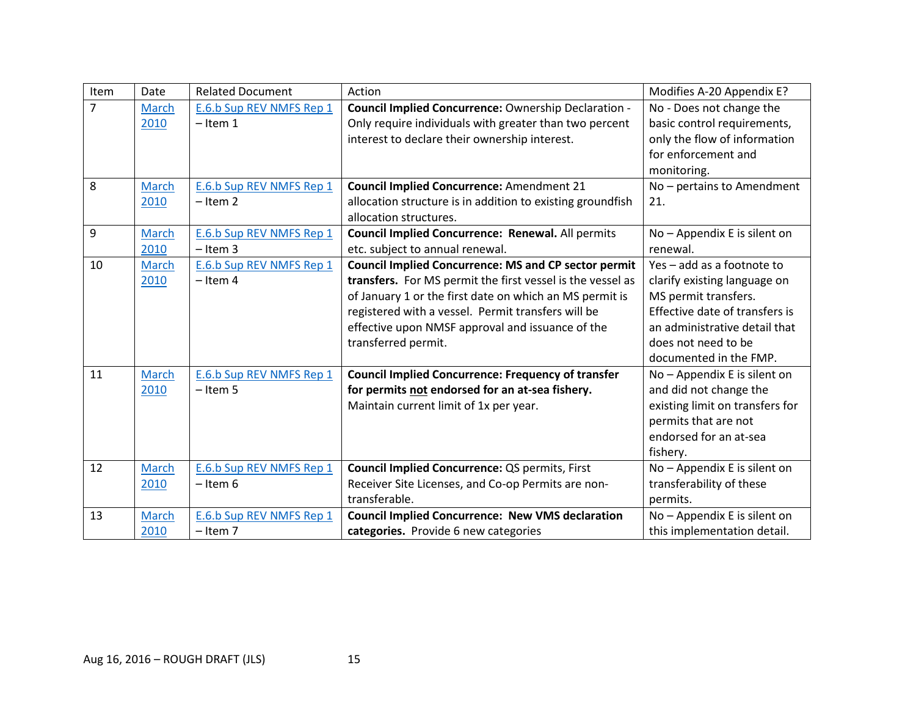| Item           | Date         | <b>Related Document</b>  | Action                                                      | Modifies A-20 Appendix E?       |
|----------------|--------------|--------------------------|-------------------------------------------------------------|---------------------------------|
| $\overline{7}$ | March        | E.6.b Sup REV NMFS Rep 1 | Council Implied Concurrence: Ownership Declaration -        | No - Does not change the        |
|                | 2010         | $-$ Item 1               | Only require individuals with greater than two percent      | basic control requirements,     |
|                |              |                          | interest to declare their ownership interest.               | only the flow of information    |
|                |              |                          |                                                             | for enforcement and             |
|                |              |                          |                                                             | monitoring.                     |
| 8              | March        | E.6.b Sup REV NMFS Rep 1 | <b>Council Implied Concurrence: Amendment 21</b>            | No - pertains to Amendment      |
|                | 2010         | $-$ Item 2               | allocation structure is in addition to existing groundfish  | 21.                             |
|                |              |                          | allocation structures.                                      |                                 |
| 9              | March        | E.6.b Sup REV NMFS Rep 1 | Council Implied Concurrence: Renewal. All permits           | No - Appendix E is silent on    |
|                | 2010         | $-$ Item 3               | etc. subject to annual renewal.                             | renewal.                        |
| 10             | March        | E.6.b Sup REV NMFS Rep 1 | <b>Council Implied Concurrence: MS and CP sector permit</b> | Yes - add as a footnote to      |
|                | 2010         | $-$ Item 4               | transfers. For MS permit the first vessel is the vessel as  | clarify existing language on    |
|                |              |                          | of January 1 or the first date on which an MS permit is     | MS permit transfers.            |
|                |              |                          | registered with a vessel. Permit transfers will be          | Effective date of transfers is  |
|                |              |                          | effective upon NMSF approval and issuance of the            | an administrative detail that   |
|                |              |                          | transferred permit.                                         | does not need to be             |
|                |              |                          |                                                             | documented in the FMP.          |
| 11             | March        | E.6.b Sup REV NMFS Rep 1 | <b>Council Implied Concurrence: Frequency of transfer</b>   | No - Appendix E is silent on    |
|                | 2010         | $-$ Item 5               | for permits not endorsed for an at-sea fishery.             | and did not change the          |
|                |              |                          | Maintain current limit of 1x per year.                      | existing limit on transfers for |
|                |              |                          |                                                             | permits that are not            |
|                |              |                          |                                                             | endorsed for an at-sea          |
|                |              |                          |                                                             | fishery.                        |
| 12             | March        | E.6.b Sup REV NMFS Rep 1 | Council Implied Concurrence: QS permits, First              | No - Appendix E is silent on    |
|                | 2010         | $-$ Item 6               | Receiver Site Licenses, and Co-op Permits are non-          | transferability of these        |
|                |              |                          | transferable.                                               | permits.                        |
| 13             | <b>March</b> | E.6.b Sup REV NMFS Rep 1 | <b>Council Implied Concurrence: New VMS declaration</b>     | No - Appendix E is silent on    |
|                | 2010         | $-$ Item 7               | categories. Provide 6 new categories                        | this implementation detail.     |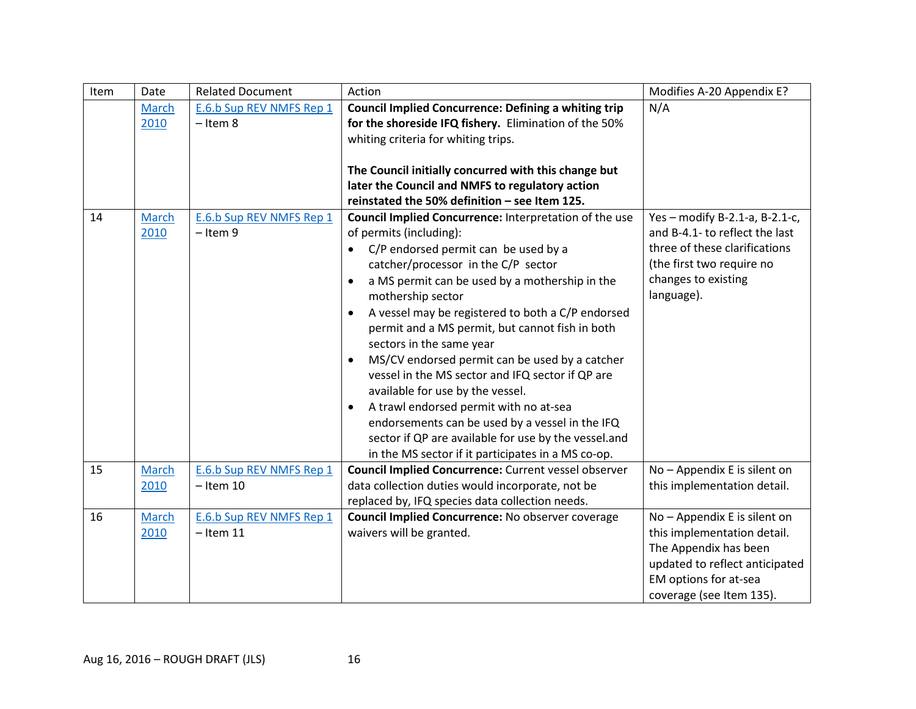| Item | Date  | <b>Related Document</b>  | Action                                                         | Modifies A-20 Appendix E?      |
|------|-------|--------------------------|----------------------------------------------------------------|--------------------------------|
|      | March | E.6.b Sup REV NMFS Rep 1 | <b>Council Implied Concurrence: Defining a whiting trip</b>    | N/A                            |
|      | 2010  | $-$ Item 8               | for the shoreside IFQ fishery. Elimination of the 50%          |                                |
|      |       |                          | whiting criteria for whiting trips.                            |                                |
|      |       |                          |                                                                |                                |
|      |       |                          | The Council initially concurred with this change but           |                                |
|      |       |                          | later the Council and NMFS to regulatory action                |                                |
|      |       |                          | reinstated the 50% definition - see Item 125.                  |                                |
| 14   | March | E.6.b Sup REV NMFS Rep 1 | Council Implied Concurrence: Interpretation of the use         | Yes - modify B-2.1-a, B-2.1-c, |
|      | 2010  | $-$ Item 9               | of permits (including):                                        | and B-4.1- to reflect the last |
|      |       |                          | C/P endorsed permit can be used by a<br>$\bullet$              | three of these clarifications  |
|      |       |                          | catcher/processor in the C/P sector                            | (the first two require no      |
|      |       |                          | a MS permit can be used by a mothership in the<br>$\bullet$    | changes to existing            |
|      |       |                          | mothership sector                                              | language).                     |
|      |       |                          | A vessel may be registered to both a C/P endorsed<br>$\bullet$ |                                |
|      |       |                          | permit and a MS permit, but cannot fish in both                |                                |
|      |       |                          | sectors in the same year                                       |                                |
|      |       |                          | MS/CV endorsed permit can be used by a catcher<br>$\bullet$    |                                |
|      |       |                          | vessel in the MS sector and IFQ sector if QP are               |                                |
|      |       |                          | available for use by the vessel.                               |                                |
|      |       |                          | A trawl endorsed permit with no at-sea<br>$\bullet$            |                                |
|      |       |                          | endorsements can be used by a vessel in the IFQ                |                                |
|      |       |                          | sector if QP are available for use by the vessel.and           |                                |
|      |       |                          | in the MS sector if it participates in a MS co-op.             |                                |
| 15   | March | E.6.b Sup REV NMFS Rep 1 | <b>Council Implied Concurrence:</b> Current vessel observer    | No - Appendix E is silent on   |
|      | 2010  | $-$ Item 10              | data collection duties would incorporate, not be               | this implementation detail.    |
|      |       |                          | replaced by, IFQ species data collection needs.                |                                |
| 16   | March | E.6.b Sup REV NMFS Rep 1 | <b>Council Implied Concurrence: No observer coverage</b>       | No - Appendix E is silent on   |
|      | 2010  | $-$ Item 11              | waivers will be granted.                                       | this implementation detail.    |
|      |       |                          |                                                                | The Appendix has been          |
|      |       |                          |                                                                | updated to reflect anticipated |
|      |       |                          |                                                                | EM options for at-sea          |
|      |       |                          |                                                                | coverage (see Item 135).       |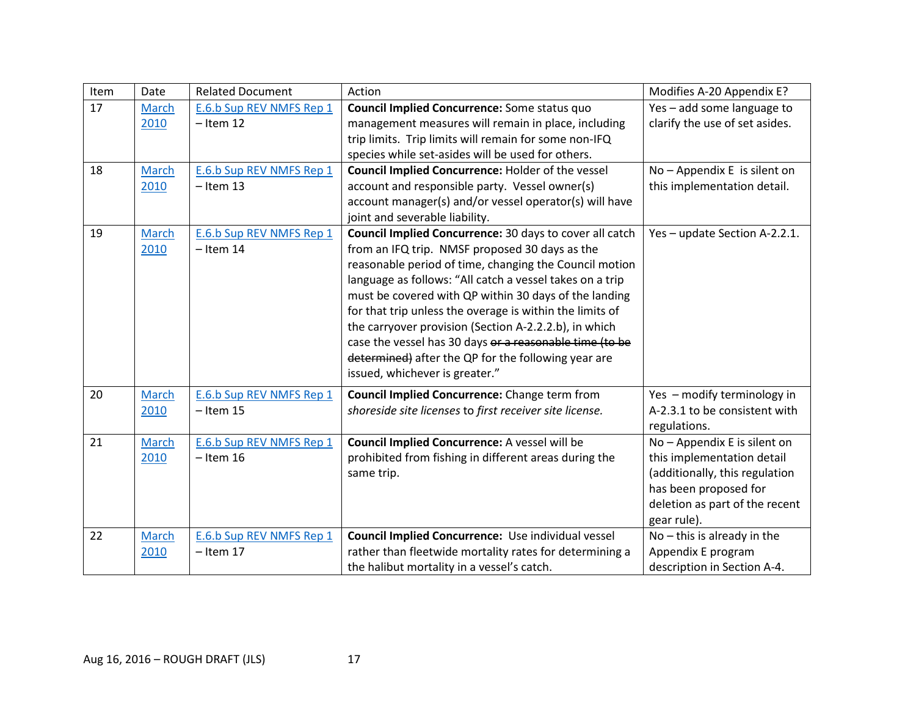| Item | Date          | <b>Related Document</b>                 | Action                                                                                                   | Modifies A-20 Appendix E?      |
|------|---------------|-----------------------------------------|----------------------------------------------------------------------------------------------------------|--------------------------------|
| 17   | <b>March</b>  | E.6.b Sup REV NMFS Rep 1                | Council Implied Concurrence: Some status quo                                                             | Yes - add some language to     |
|      | 2010          | $-$ Item 12                             | management measures will remain in place, including                                                      | clarify the use of set asides. |
|      |               |                                         | trip limits. Trip limits will remain for some non-IFQ                                                    |                                |
|      |               |                                         | species while set-asides will be used for others.                                                        |                                |
| 18   | March<br>2010 | E.6.b Sup REV NMFS Rep 1<br>$-$ Item 13 | Council Implied Concurrence: Holder of the vessel                                                        | No - Appendix E is silent on   |
|      |               |                                         | account and responsible party. Vessel owner(s)<br>account manager(s) and/or vessel operator(s) will have | this implementation detail.    |
|      |               |                                         | joint and severable liability.                                                                           |                                |
| 19   | March         | E.6.b Sup REV NMFS Rep 1                | Council Implied Concurrence: 30 days to cover all catch                                                  | Yes - update Section A-2.2.1.  |
|      | 2010          | $-$ Item 14                             | from an IFQ trip. NMSF proposed 30 days as the                                                           |                                |
|      |               |                                         | reasonable period of time, changing the Council motion                                                   |                                |
|      |               |                                         | language as follows: "All catch a vessel takes on a trip                                                 |                                |
|      |               |                                         | must be covered with QP within 30 days of the landing                                                    |                                |
|      |               |                                         | for that trip unless the overage is within the limits of                                                 |                                |
|      |               |                                         | the carryover provision (Section A-2.2.2.b), in which                                                    |                                |
|      |               |                                         | case the vessel has 30 days or a reasonable time (to be                                                  |                                |
|      |               |                                         | determined) after the QP for the following year are                                                      |                                |
|      |               |                                         | issued, whichever is greater."                                                                           |                                |
| 20   | March         | E.6.b Sup REV NMFS Rep 1                | <b>Council Implied Concurrence:</b> Change term from                                                     | Yes - modify terminology in    |
|      | 2010          | $-$ Item 15                             | shoreside site licenses to first receiver site license.                                                  | A-2.3.1 to be consistent with  |
|      |               |                                         |                                                                                                          | regulations.                   |
| 21   | <b>March</b>  | E.6.b Sup REV NMFS Rep 1                | Council Implied Concurrence: A vessel will be                                                            | No - Appendix E is silent on   |
|      | 2010          | $-$ Item 16                             | prohibited from fishing in different areas during the                                                    | this implementation detail     |
|      |               |                                         | same trip.                                                                                               | (additionally, this regulation |
|      |               |                                         |                                                                                                          | has been proposed for          |
|      |               |                                         |                                                                                                          | deletion as part of the recent |
|      |               |                                         |                                                                                                          | gear rule).                    |
| 22   | March         | E.6.b Sup REV NMFS Rep 1                | Council Implied Concurrence: Use individual vessel                                                       | $No$ – this is already in the  |
|      | 2010          | $-$ Item 17                             | rather than fleetwide mortality rates for determining a                                                  | Appendix E program             |
|      |               |                                         | the halibut mortality in a vessel's catch.                                                               | description in Section A-4.    |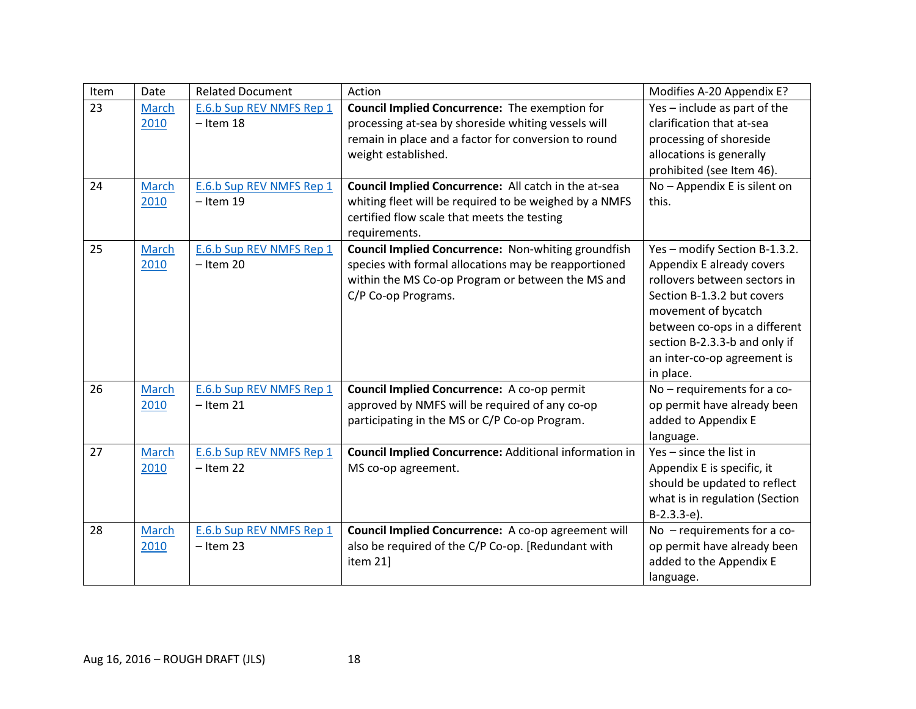| Item | Date         | <b>Related Document</b>  | Action                                                        | Modifies A-20 Appendix E?      |
|------|--------------|--------------------------|---------------------------------------------------------------|--------------------------------|
| 23   | <b>March</b> | E.6.b Sup REV NMFS Rep 1 | <b>Council Implied Concurrence:</b> The exemption for         | Yes - include as part of the   |
|      | 2010         | $-$ Item 18              | processing at-sea by shoreside whiting vessels will           | clarification that at-sea      |
|      |              |                          | remain in place and a factor for conversion to round          | processing of shoreside        |
|      |              |                          | weight established.                                           | allocations is generally       |
|      |              |                          |                                                               | prohibited (see Item 46).      |
| 24   | March        | E.6.b Sup REV NMFS Rep 1 | Council Implied Concurrence: All catch in the at-sea          | No - Appendix E is silent on   |
|      | 2010         | $-$ Item 19              | whiting fleet will be required to be weighed by a NMFS        | this.                          |
|      |              |                          | certified flow scale that meets the testing                   |                                |
|      |              |                          | requirements.                                                 |                                |
| 25   | March        | E.6.b Sup REV NMFS Rep 1 | <b>Council Implied Concurrence: Non-whiting groundfish</b>    | Yes - modify Section B-1.3.2.  |
|      | 2010         | $-$ Item 20              | species with formal allocations may be reapportioned          | Appendix E already covers      |
|      |              |                          | within the MS Co-op Program or between the MS and             | rollovers between sectors in   |
|      |              |                          | C/P Co-op Programs.                                           | Section B-1.3.2 but covers     |
|      |              |                          |                                                               | movement of bycatch            |
|      |              |                          |                                                               | between co-ops in a different  |
|      |              |                          |                                                               | section B-2.3.3-b and only if  |
|      |              |                          |                                                               | an inter-co-op agreement is    |
|      |              |                          |                                                               | in place.                      |
| 26   | March        | E.6.b Sup REV NMFS Rep 1 | Council Implied Concurrence: A co-op permit                   | No - requirements for a co-    |
|      | 2010         | $-$ Item 21              | approved by NMFS will be required of any co-op                | op permit have already been    |
|      |              |                          | participating in the MS or C/P Co-op Program.                 | added to Appendix E            |
|      |              |                          |                                                               | language.                      |
| 27   | March        | E.6.b Sup REV NMFS Rep 1 | <b>Council Implied Concurrence: Additional information in</b> | Yes - since the list in        |
|      | 2010         | $-$ Item 22              | MS co-op agreement.                                           | Appendix E is specific, it     |
|      |              |                          |                                                               | should be updated to reflect   |
|      |              |                          |                                                               | what is in regulation (Section |
|      |              |                          |                                                               | $B-2.3.3-e$ ).                 |
| 28   | March        | E.6.b Sup REV NMFS Rep 1 | Council Implied Concurrence: A co-op agreement will           | No - requirements for a co-    |
|      | 2010         | $-$ Item 23              | also be required of the C/P Co-op. [Redundant with            | op permit have already been    |
|      |              |                          | item 21]                                                      | added to the Appendix E        |
|      |              |                          |                                                               | language.                      |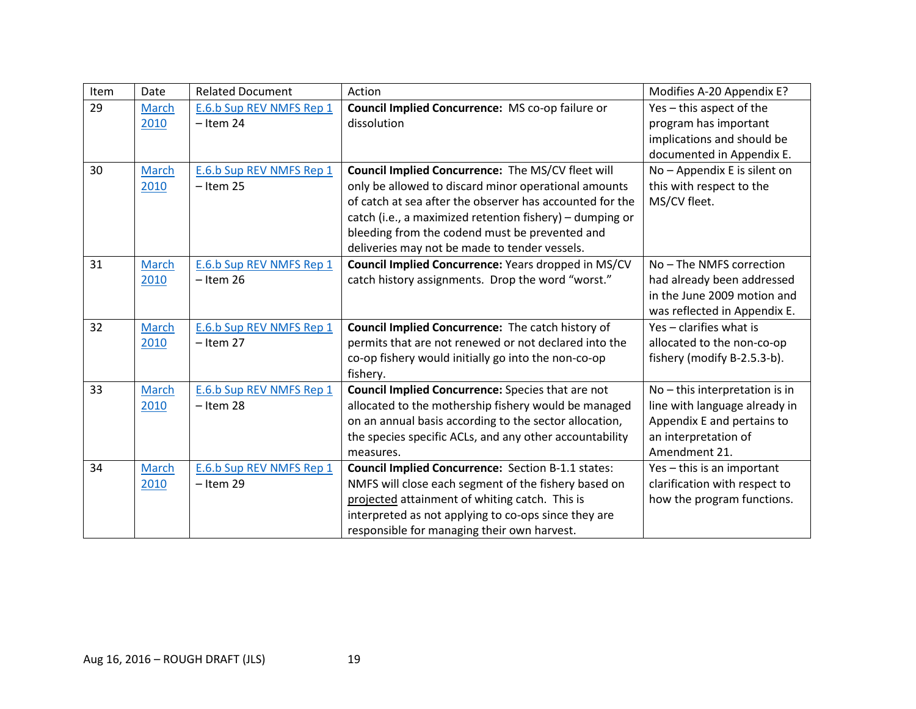| Item | Date  | <b>Related Document</b>  | Action                                                    | Modifies A-20 Appendix E?      |
|------|-------|--------------------------|-----------------------------------------------------------|--------------------------------|
| 29   | March | E.6.b Sup REV NMFS Rep 1 | Council Implied Concurrence: MS co-op failure or          | Yes - this aspect of the       |
|      | 2010  | $-$ Item 24              | dissolution                                               | program has important          |
|      |       |                          |                                                           | implications and should be     |
|      |       |                          |                                                           | documented in Appendix E.      |
| 30   | March | E.6.b Sup REV NMFS Rep 1 | Council Implied Concurrence: The MS/CV fleet will         | No - Appendix E is silent on   |
|      | 2010  | $-$ Item 25              | only be allowed to discard minor operational amounts      | this with respect to the       |
|      |       |                          | of catch at sea after the observer has accounted for the  | MS/CV fleet.                   |
|      |       |                          | catch (i.e., a maximized retention fishery) - dumping or  |                                |
|      |       |                          | bleeding from the codend must be prevented and            |                                |
|      |       |                          | deliveries may not be made to tender vessels.             |                                |
| 31   | March | E.6.b Sup REV NMFS Rep 1 | Council Implied Concurrence: Years dropped in MS/CV       | No - The NMFS correction       |
|      | 2010  | $-$ Item 26              | catch history assignments. Drop the word "worst."         | had already been addressed     |
|      |       |                          |                                                           | in the June 2009 motion and    |
|      |       |                          |                                                           | was reflected in Appendix E.   |
| 32   | March | E.6.b Sup REV NMFS Rep 1 | Council Implied Concurrence: The catch history of         | Yes - clarifies what is        |
|      | 2010  | $-$ Item 27              | permits that are not renewed or not declared into the     | allocated to the non-co-op     |
|      |       |                          | co-op fishery would initially go into the non-co-op       | fishery (modify B-2.5.3-b).    |
|      |       |                          | fishery.                                                  |                                |
| 33   | March | E.6.b Sup REV NMFS Rep 1 | Council Implied Concurrence: Species that are not         | No - this interpretation is in |
|      | 2010  | $-$ Item 28              | allocated to the mothership fishery would be managed      | line with language already in  |
|      |       |                          | on an annual basis according to the sector allocation,    | Appendix E and pertains to     |
|      |       |                          | the species specific ACLs, and any other accountability   | an interpretation of           |
|      |       |                          | measures.                                                 | Amendment 21.                  |
| 34   | March | E.6.b Sup REV NMFS Rep 1 | <b>Council Implied Concurrence:</b> Section B-1.1 states: | Yes - this is an important     |
|      | 2010  | $-$ Item 29              | NMFS will close each segment of the fishery based on      | clarification with respect to  |
|      |       |                          | projected attainment of whiting catch. This is            | how the program functions.     |
|      |       |                          | interpreted as not applying to co-ops since they are      |                                |
|      |       |                          | responsible for managing their own harvest.               |                                |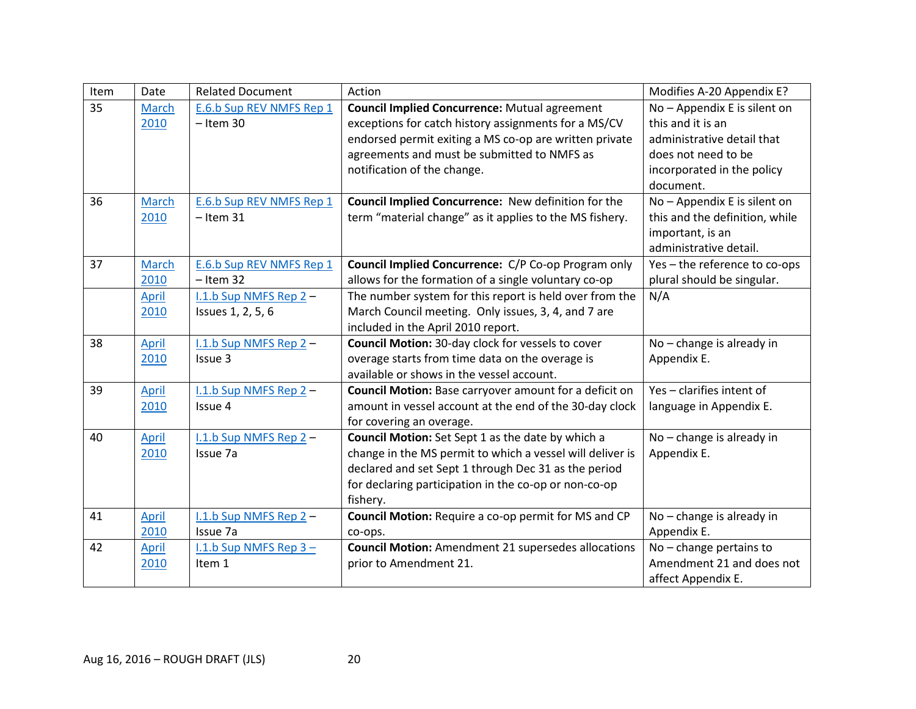| Item | Date         | <b>Related Document</b>  | Action                                                     | Modifies A-20 Appendix E?      |
|------|--------------|--------------------------|------------------------------------------------------------|--------------------------------|
| 35   | March        | E.6.b Sup REV NMFS Rep 1 | <b>Council Implied Concurrence: Mutual agreement</b>       | No - Appendix E is silent on   |
|      | 2010         | $-$ Item 30              | exceptions for catch history assignments for a MS/CV       | this and it is an              |
|      |              |                          | endorsed permit exiting a MS co-op are written private     | administrative detail that     |
|      |              |                          | agreements and must be submitted to NMFS as                | does not need to be            |
|      |              |                          | notification of the change.                                | incorporated in the policy     |
|      |              |                          |                                                            | document.                      |
| 36   | <b>March</b> | E.6.b Sup REV NMFS Rep 1 | Council Implied Concurrence: New definition for the        | No - Appendix E is silent on   |
|      | 2010         | $-$ Item 31              | term "material change" as it applies to the MS fishery.    | this and the definition, while |
|      |              |                          |                                                            | important, is an               |
|      |              |                          |                                                            | administrative detail.         |
| 37   | March        | E.6.b Sup REV NMFS Rep 1 | Council Implied Concurrence: C/P Co-op Program only        | Yes - the reference to co-ops  |
|      | 2010         | $-$ Item 32              | allows for the formation of a single voluntary co-op       | plural should be singular.     |
|      | April        | I.1.b Sup NMFS Rep 2-    | The number system for this report is held over from the    | N/A                            |
|      | 2010         | Issues 1, 2, 5, 6        | March Council meeting. Only issues, 3, 4, and 7 are        |                                |
|      |              |                          | included in the April 2010 report.                         |                                |
| 38   | April        | I.1.b Sup NMFS Rep 2-    | Council Motion: 30-day clock for vessels to cover          | No - change is already in      |
|      | 2010         | Issue 3                  | overage starts from time data on the overage is            | Appendix E.                    |
|      |              |                          | available or shows in the vessel account.                  |                                |
| 39   | April        | I.1.b Sup NMFS Rep 2-    | Council Motion: Base carryover amount for a deficit on     | Yes - clarifies intent of      |
|      | 2010         | Issue 4                  | amount in vessel account at the end of the 30-day clock    | language in Appendix E.        |
|      |              |                          | for covering an overage.                                   |                                |
| 40   | April        | I.1.b Sup NMFS Rep 2-    | Council Motion: Set Sept 1 as the date by which a          | No - change is already in      |
|      | 2010         | Issue 7a                 | change in the MS permit to which a vessel will deliver is  | Appendix E.                    |
|      |              |                          | declared and set Sept 1 through Dec 31 as the period       |                                |
|      |              |                          | for declaring participation in the co-op or non-co-op      |                                |
|      |              |                          | fishery.                                                   |                                |
| 41   | April        | I.1.b Sup NMFS Rep 2-    | Council Motion: Require a co-op permit for MS and CP       | No - change is already in      |
|      | 2010         | Issue 7a                 | co-ops.                                                    | Appendix E.                    |
| 42   | April        | I.1.b Sup NMFS Rep $3 -$ | <b>Council Motion:</b> Amendment 21 supersedes allocations | No - change pertains to        |
|      | 2010         | Item 1                   | prior to Amendment 21.                                     | Amendment 21 and does not      |
|      |              |                          |                                                            | affect Appendix E.             |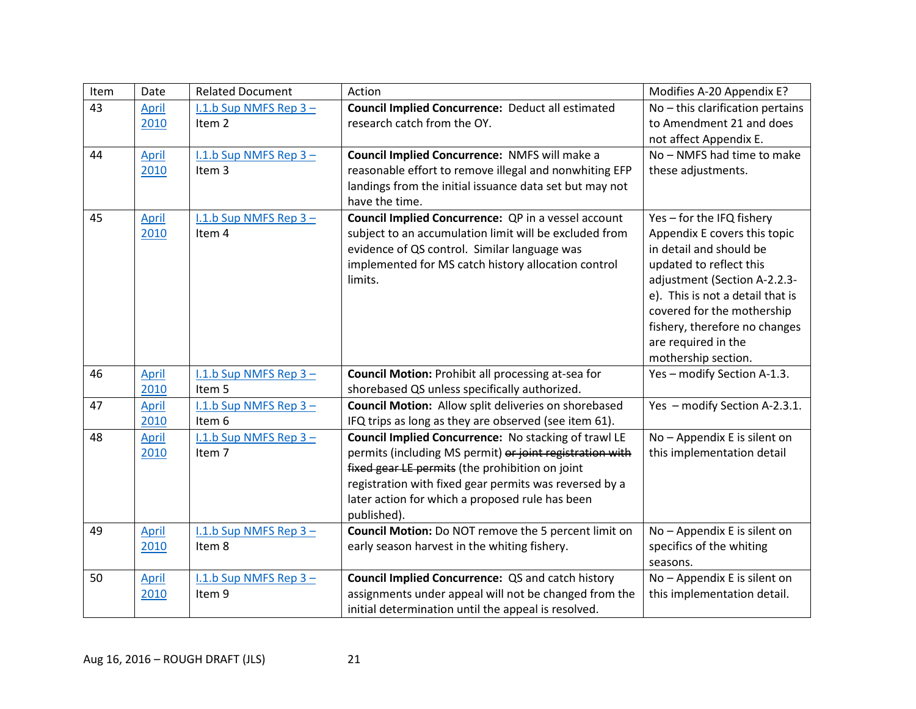| Item | Date  | <b>Related Document</b>  | Action                                                      | Modifies A-20 Appendix E?        |
|------|-------|--------------------------|-------------------------------------------------------------|----------------------------------|
| 43   | April | I.1.b Sup NMFS Rep $3 -$ | <b>Council Implied Concurrence: Deduct all estimated</b>    | No - this clarification pertains |
|      | 2010  | Item 2                   | research catch from the OY.                                 | to Amendment 21 and does         |
|      |       |                          |                                                             | not affect Appendix E.           |
| 44   | April | I.1.b Sup NMFS Rep $3 -$ | Council Implied Concurrence: NMFS will make a               | No - NMFS had time to make       |
|      | 2010  | Item 3                   | reasonable effort to remove illegal and nonwhiting EFP      | these adjustments.               |
|      |       |                          | landings from the initial issuance data set but may not     |                                  |
|      |       |                          | have the time.                                              |                                  |
| 45   | April | I.1.b Sup NMFS Rep 3-    | Council Implied Concurrence: QP in a vessel account         | Yes - for the IFQ fishery        |
|      | 2010  | Item 4                   | subject to an accumulation limit will be excluded from      | Appendix E covers this topic     |
|      |       |                          | evidence of QS control. Similar language was                | in detail and should be          |
|      |       |                          | implemented for MS catch history allocation control         | updated to reflect this          |
|      |       |                          | limits.                                                     | adjustment (Section A-2.2.3-     |
|      |       |                          |                                                             | e). This is not a detail that is |
|      |       |                          |                                                             | covered for the mothership       |
|      |       |                          |                                                             | fishery, therefore no changes    |
|      |       |                          |                                                             | are required in the              |
|      |       |                          |                                                             | mothership section.              |
| 46   | April | $1.1.b$ Sup NMFS Rep 3 - | <b>Council Motion: Prohibit all processing at-sea for</b>   | Yes - modify Section A-1.3.      |
|      | 2010  | Item 5                   | shorebased QS unless specifically authorized.               |                                  |
| 47   | April | I.1.b Sup NMFS Rep $3 -$ | <b>Council Motion:</b> Allow split deliveries on shorebased | Yes - modify Section A-2.3.1.    |
|      | 2010  | Item 6                   | IFQ trips as long as they are observed (see item 61).       |                                  |
| 48   | April | I.1.b Sup NMFS Rep $3 -$ | Council Implied Concurrence: No stacking of trawl LE        | No - Appendix E is silent on     |
|      | 2010  | Item <sub>7</sub>        | permits (including MS permit) or joint registration with    | this implementation detail       |
|      |       |                          | fixed gear LE permits (the prohibition on joint             |                                  |
|      |       |                          | registration with fixed gear permits was reversed by a      |                                  |
|      |       |                          | later action for which a proposed rule has been             |                                  |
|      |       |                          | published).                                                 |                                  |
| 49   | April | I.1.b Sup NMFS Rep $3 -$ | Council Motion: Do NOT remove the 5 percent limit on        | No - Appendix E is silent on     |
|      | 2010  | Item 8                   | early season harvest in the whiting fishery.                | specifics of the whiting         |
|      |       |                          |                                                             | seasons.                         |
| 50   | April | I.1.b Sup NMFS Rep $3 -$ | Council Implied Concurrence: QS and catch history           | No - Appendix E is silent on     |
|      | 2010  | Item 9                   | assignments under appeal will not be changed from the       | this implementation detail.      |
|      |       |                          | initial determination until the appeal is resolved.         |                                  |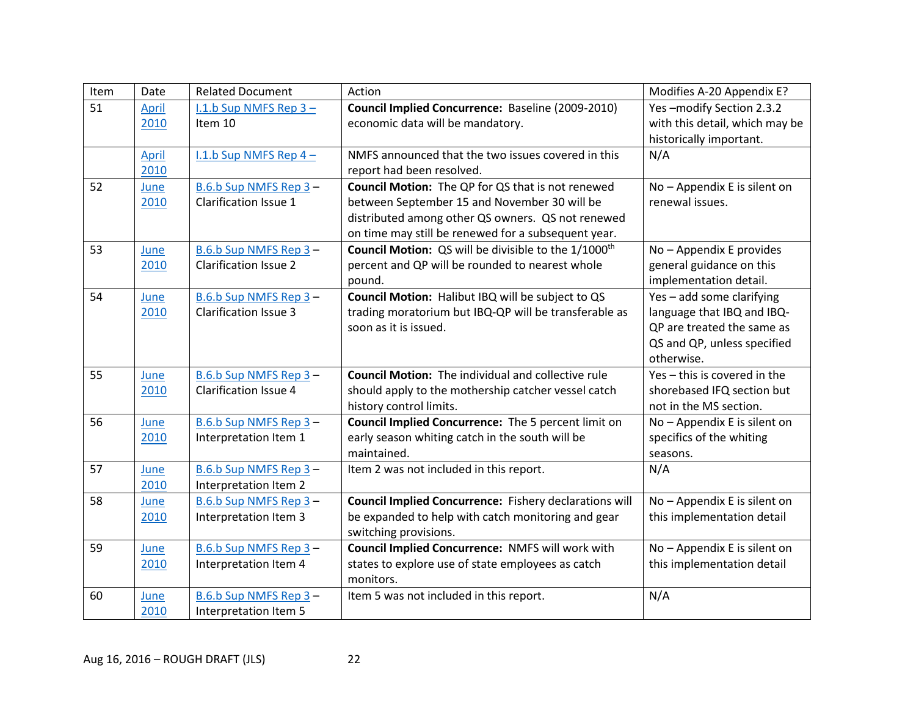| Item | Date         | <b>Related Document</b>      | Action                                                           | Modifies A-20 Appendix E?      |
|------|--------------|------------------------------|------------------------------------------------------------------|--------------------------------|
| 51   | <b>April</b> | $1.1.b$ Sup NMFS Rep $3 -$   | Council Implied Concurrence: Baseline (2009-2010)                | Yes-modify Section 2.3.2       |
|      | 2010         | Item 10                      | economic data will be mandatory.                                 | with this detail, which may be |
|      |              |                              |                                                                  | historically important.        |
|      | <b>April</b> | I.1.b Sup NMFS Rep 4-        | NMFS announced that the two issues covered in this               | N/A                            |
|      | 2010         |                              | report had been resolved.                                        |                                |
| 52   | June         | B.6.b Sup NMFS Rep 3-        | <b>Council Motion:</b> The QP for QS that is not renewed         | No - Appendix E is silent on   |
|      | 2010         | Clarification Issue 1        | between September 15 and November 30 will be                     | renewal issues.                |
|      |              |                              | distributed among other QS owners. QS not renewed                |                                |
|      |              |                              | on time may still be renewed for a subsequent year.              |                                |
| 53   | June         | B.6.b Sup NMFS Rep 3-        | Council Motion: QS will be divisible to the 1/1000 <sup>th</sup> | No - Appendix E provides       |
|      | 2010         | <b>Clarification Issue 2</b> | percent and QP will be rounded to nearest whole                  | general guidance on this       |
|      |              |                              | pound.                                                           | implementation detail.         |
| 54   | June         | B.6.b Sup NMFS Rep 3-        | Council Motion: Halibut IBQ will be subject to QS                | Yes - add some clarifying      |
|      | 2010         | <b>Clarification Issue 3</b> | trading moratorium but IBQ-QP will be transferable as            | language that IBQ and IBQ-     |
|      |              |                              | soon as it is issued.                                            | QP are treated the same as     |
|      |              |                              |                                                                  | QS and QP, unless specified    |
|      |              |                              |                                                                  | otherwise.                     |
| 55   | June         | B.6.b Sup NMFS Rep 3-        | <b>Council Motion:</b> The individual and collective rule        | Yes - this is covered in the   |
|      | 2010         | <b>Clarification Issue 4</b> | should apply to the mothership catcher vessel catch              | shorebased IFQ section but     |
|      |              |                              | history control limits.                                          | not in the MS section.         |
| 56   | June         | B.6.b Sup NMFS Rep 3-        | Council Implied Concurrence: The 5 percent limit on              | No - Appendix E is silent on   |
|      | 2010         | Interpretation Item 1        | early season whiting catch in the south will be                  | specifics of the whiting       |
|      |              |                              | maintained.                                                      | seasons.                       |
| 57   | June         | B.6.b Sup NMFS Rep 3-        | Item 2 was not included in this report.                          | N/A                            |
|      | 2010         | Interpretation Item 2        |                                                                  |                                |
| 58   | June         | B.6.b Sup NMFS Rep 3-        | Council Implied Concurrence: Fishery declarations will           | No - Appendix E is silent on   |
|      | 2010         | Interpretation Item 3        | be expanded to help with catch monitoring and gear               | this implementation detail     |
|      |              |                              | switching provisions.                                            |                                |
| 59   | June         | B.6.b Sup NMFS Rep 3-        | Council Implied Concurrence: NMFS will work with                 | No - Appendix E is silent on   |
|      | 2010         | Interpretation Item 4        | states to explore use of state employees as catch                | this implementation detail     |
|      |              |                              | monitors.                                                        |                                |
| 60   | June         | B.6.b Sup NMFS Rep 3-        | Item 5 was not included in this report.                          | N/A                            |
|      | 2010         | Interpretation Item 5        |                                                                  |                                |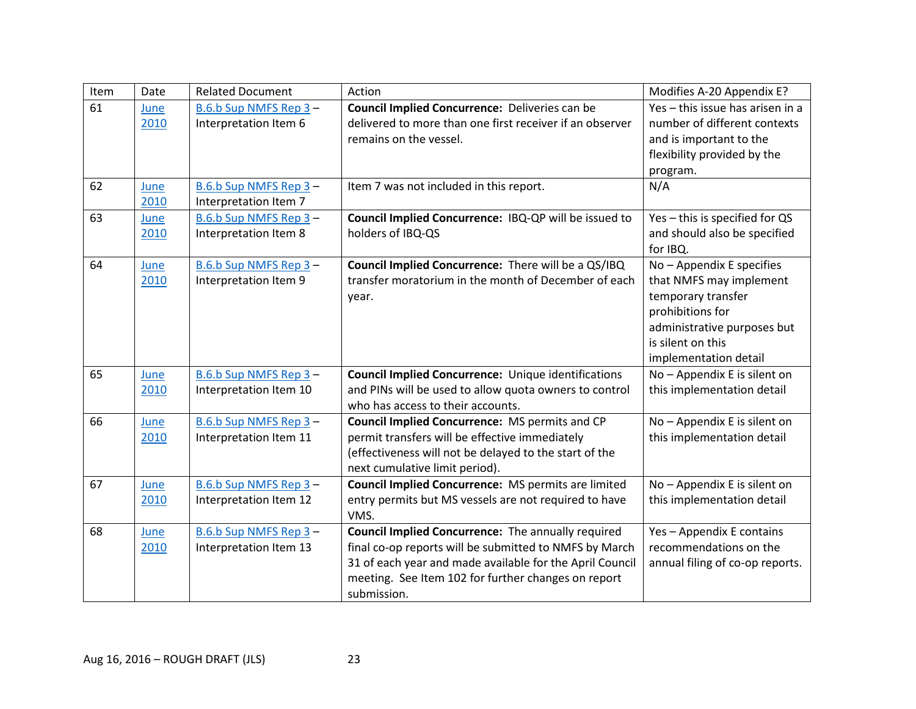| Item | Date | <b>Related Document</b> | Action                                                     | Modifies A-20 Appendix E?        |
|------|------|-------------------------|------------------------------------------------------------|----------------------------------|
| 61   | June | B.6.b Sup NMFS Rep 3-   | Council Implied Concurrence: Deliveries can be             | Yes - this issue has arisen in a |
|      | 2010 | Interpretation Item 6   | delivered to more than one first receiver if an observer   | number of different contexts     |
|      |      |                         | remains on the vessel.                                     | and is important to the          |
|      |      |                         |                                                            | flexibility provided by the      |
|      |      |                         |                                                            | program.                         |
| 62   | June | B.6.b Sup NMFS Rep 3-   | Item 7 was not included in this report.                    | N/A                              |
|      | 2010 | Interpretation Item 7   |                                                            |                                  |
| 63   | June | B.6.b Sup NMFS Rep 3-   | Council Implied Concurrence: IBQ-QP will be issued to      | Yes - this is specified for QS   |
|      | 2010 | Interpretation Item 8   | holders of IBQ-QS                                          | and should also be specified     |
|      |      |                         |                                                            | for IBQ.                         |
| 64   | June | B.6.b Sup NMFS Rep 3-   | Council Implied Concurrence: There will be a QS/IBQ        | No - Appendix E specifies        |
|      | 2010 | Interpretation Item 9   | transfer moratorium in the month of December of each       | that NMFS may implement          |
|      |      |                         | year.                                                      | temporary transfer               |
|      |      |                         |                                                            | prohibitions for                 |
|      |      |                         |                                                            | administrative purposes but      |
|      |      |                         |                                                            | is silent on this                |
|      |      |                         |                                                            | implementation detail            |
| 65   | June | B.6.b Sup NMFS Rep 3-   | <b>Council Implied Concurrence:</b> Unique identifications | No - Appendix E is silent on     |
|      | 2010 | Interpretation Item 10  | and PINs will be used to allow quota owners to control     | this implementation detail       |
|      |      |                         | who has access to their accounts.                          |                                  |
| 66   | June | B.6.b Sup NMFS Rep 3-   | <b>Council Implied Concurrence: MS permits and CP</b>      | No - Appendix E is silent on     |
|      | 2010 | Interpretation Item 11  | permit transfers will be effective immediately             | this implementation detail       |
|      |      |                         | (effectiveness will not be delayed to the start of the     |                                  |
|      |      |                         | next cumulative limit period).                             |                                  |
| 67   | June | B.6.b Sup NMFS Rep 3-   | Council Implied Concurrence: MS permits are limited        | No - Appendix E is silent on     |
|      | 2010 | Interpretation Item 12  | entry permits but MS vessels are not required to have      | this implementation detail       |
|      |      |                         | VMS.                                                       |                                  |
| 68   | June | B.6.b Sup NMFS Rep 3-   | <b>Council Implied Concurrence:</b> The annually required  | Yes - Appendix E contains        |
|      | 2010 | Interpretation Item 13  | final co-op reports will be submitted to NMFS by March     | recommendations on the           |
|      |      |                         | 31 of each year and made available for the April Council   | annual filing of co-op reports.  |
|      |      |                         | meeting. See Item 102 for further changes on report        |                                  |
|      |      |                         | submission.                                                |                                  |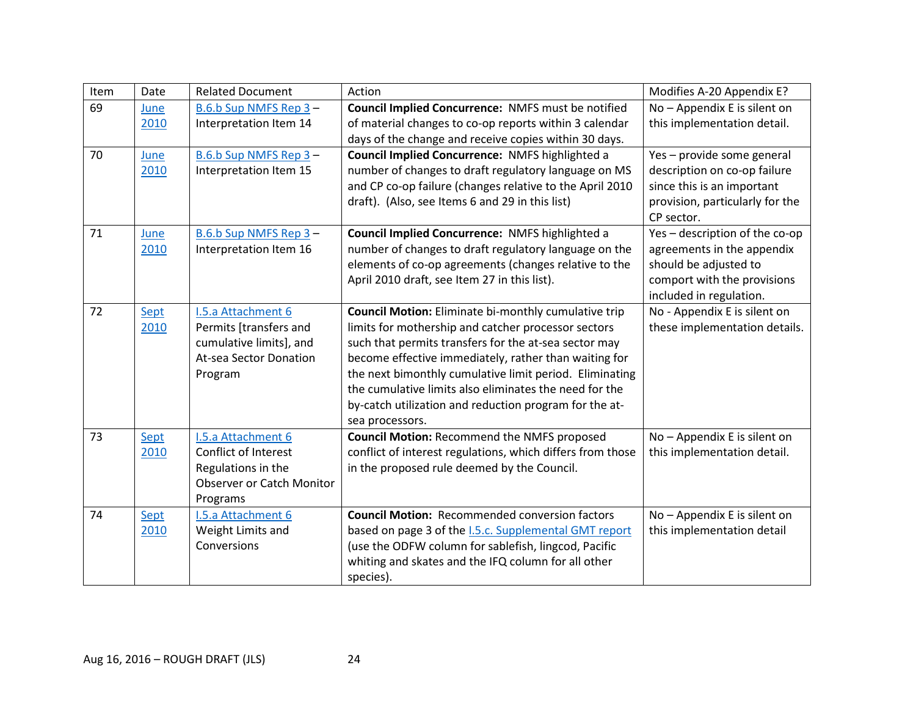| Item | Date | <b>Related Document</b>          | Action                                                      | Modifies A-20 Appendix E?       |
|------|------|----------------------------------|-------------------------------------------------------------|---------------------------------|
| 69   | June | B.6.b Sup NMFS Rep 3-            | Council Implied Concurrence: NMFS must be notified          | No - Appendix E is silent on    |
|      | 2010 | Interpretation Item 14           | of material changes to co-op reports within 3 calendar      | this implementation detail.     |
|      |      |                                  | days of the change and receive copies within 30 days.       |                                 |
| 70   | June | B.6.b Sup NMFS Rep 3-            | Council Implied Concurrence: NMFS highlighted a             | Yes - provide some general      |
|      | 2010 | Interpretation Item 15           | number of changes to draft regulatory language on MS        | description on co-op failure    |
|      |      |                                  | and CP co-op failure (changes relative to the April 2010    | since this is an important      |
|      |      |                                  | draft). (Also, see Items 6 and 29 in this list)             | provision, particularly for the |
|      |      |                                  |                                                             | CP sector.                      |
| 71   | June | B.6.b Sup NMFS Rep 3-            | Council Implied Concurrence: NMFS highlighted a             | Yes - description of the co-op  |
|      | 2010 | Interpretation Item 16           | number of changes to draft regulatory language on the       | agreements in the appendix      |
|      |      |                                  | elements of co-op agreements (changes relative to the       | should be adjusted to           |
|      |      |                                  | April 2010 draft, see Item 27 in this list).                | comport with the provisions     |
|      |      |                                  |                                                             | included in regulation.         |
| 72   | Sept | I.5.a Attachment 6               | <b>Council Motion:</b> Eliminate bi-monthly cumulative trip | No - Appendix E is silent on    |
|      | 2010 | Permits [transfers and           | limits for mothership and catcher processor sectors         | these implementation details.   |
|      |      | cumulative limits], and          | such that permits transfers for the at-sea sector may       |                                 |
|      |      | At-sea Sector Donation           | become effective immediately, rather than waiting for       |                                 |
|      |      | Program                          | the next bimonthly cumulative limit period. Eliminating     |                                 |
|      |      |                                  | the cumulative limits also eliminates the need for the      |                                 |
|      |      |                                  | by-catch utilization and reduction program for the at-      |                                 |
|      |      |                                  | sea processors.                                             |                                 |
| 73   | Sept | I.5.a Attachment 6               | <b>Council Motion: Recommend the NMFS proposed</b>          | No - Appendix E is silent on    |
|      | 2010 | Conflict of Interest             | conflict of interest regulations, which differs from those  | this implementation detail.     |
|      |      | Regulations in the               | in the proposed rule deemed by the Council.                 |                                 |
|      |      | <b>Observer or Catch Monitor</b> |                                                             |                                 |
|      |      | Programs                         |                                                             |                                 |
| 74   | Sept | <b>I.5.a Attachment 6</b>        | <b>Council Motion: Recommended conversion factors</b>       | No - Appendix E is silent on    |
|      | 2010 | Weight Limits and                | based on page 3 of the I.5.c. Supplemental GMT report       | this implementation detail      |
|      |      | Conversions                      | (use the ODFW column for sablefish, lingcod, Pacific        |                                 |
|      |      |                                  | whiting and skates and the IFQ column for all other         |                                 |
|      |      |                                  | species).                                                   |                                 |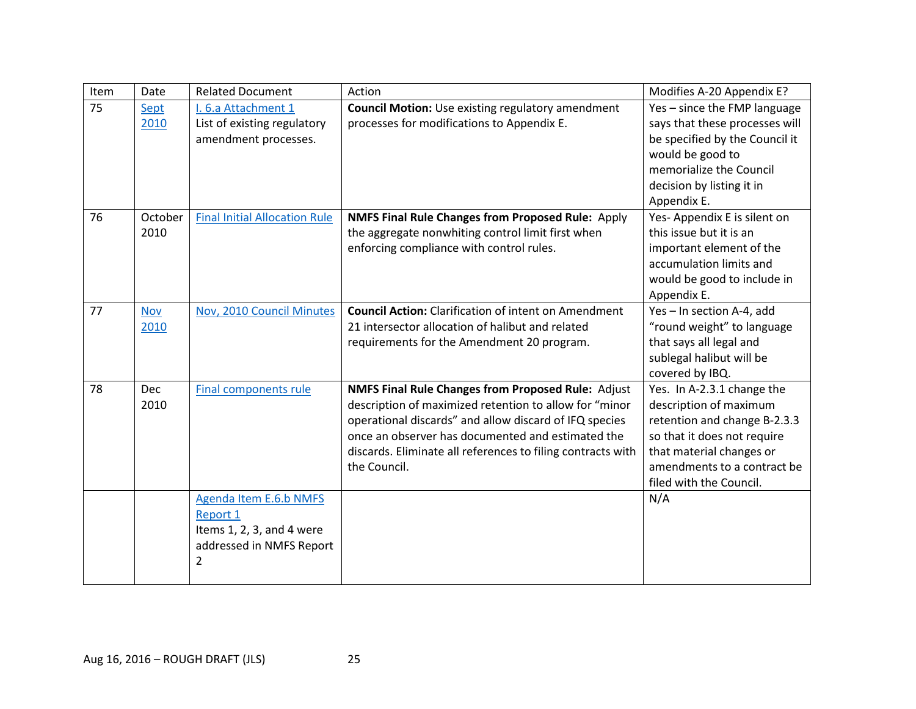| Item | Date               | <b>Related Document</b>                                                                                 | Action                                                                                                                                                                                                                                                                                                            | Modifies A-20 Appendix E?                                                                                                                                                                                 |
|------|--------------------|---------------------------------------------------------------------------------------------------------|-------------------------------------------------------------------------------------------------------------------------------------------------------------------------------------------------------------------------------------------------------------------------------------------------------------------|-----------------------------------------------------------------------------------------------------------------------------------------------------------------------------------------------------------|
| 75   | Sept<br>2010       | I. 6.a Attachment 1<br>List of existing regulatory<br>amendment processes.                              | <b>Council Motion:</b> Use existing regulatory amendment<br>processes for modifications to Appendix E.                                                                                                                                                                                                            | Yes - since the FMP language<br>says that these processes will<br>be specified by the Council it<br>would be good to<br>memorialize the Council<br>decision by listing it in<br>Appendix E.               |
| 76   | October<br>2010    | <b>Final Initial Allocation Rule</b>                                                                    | <b>NMFS Final Rule Changes from Proposed Rule: Apply</b><br>the aggregate nonwhiting control limit first when<br>enforcing compliance with control rules.                                                                                                                                                         | Yes-Appendix E is silent on<br>this issue but it is an<br>important element of the<br>accumulation limits and<br>would be good to include in<br>Appendix E.                                               |
| 77   | <b>Nov</b><br>2010 | Nov, 2010 Council Minutes                                                                               | <b>Council Action:</b> Clarification of intent on Amendment<br>21 intersector allocation of halibut and related<br>requirements for the Amendment 20 program.                                                                                                                                                     | Yes - In section A-4, add<br>"round weight" to language<br>that says all legal and<br>sublegal halibut will be<br>covered by IBQ.                                                                         |
| 78   | Dec<br>2010        | <b>Final components rule</b>                                                                            | <b>NMFS Final Rule Changes from Proposed Rule: Adjust</b><br>description of maximized retention to allow for "minor<br>operational discards" and allow discard of IFQ species<br>once an observer has documented and estimated the<br>discards. Eliminate all references to filing contracts with<br>the Council. | Yes. In A-2.3.1 change the<br>description of maximum<br>retention and change B-2.3.3<br>so that it does not require<br>that material changes or<br>amendments to a contract be<br>filed with the Council. |
|      |                    | Agenda Item E.6.b NMFS<br><b>Report 1</b><br>Items 1, 2, 3, and 4 were<br>addressed in NMFS Report<br>2 |                                                                                                                                                                                                                                                                                                                   | N/A                                                                                                                                                                                                       |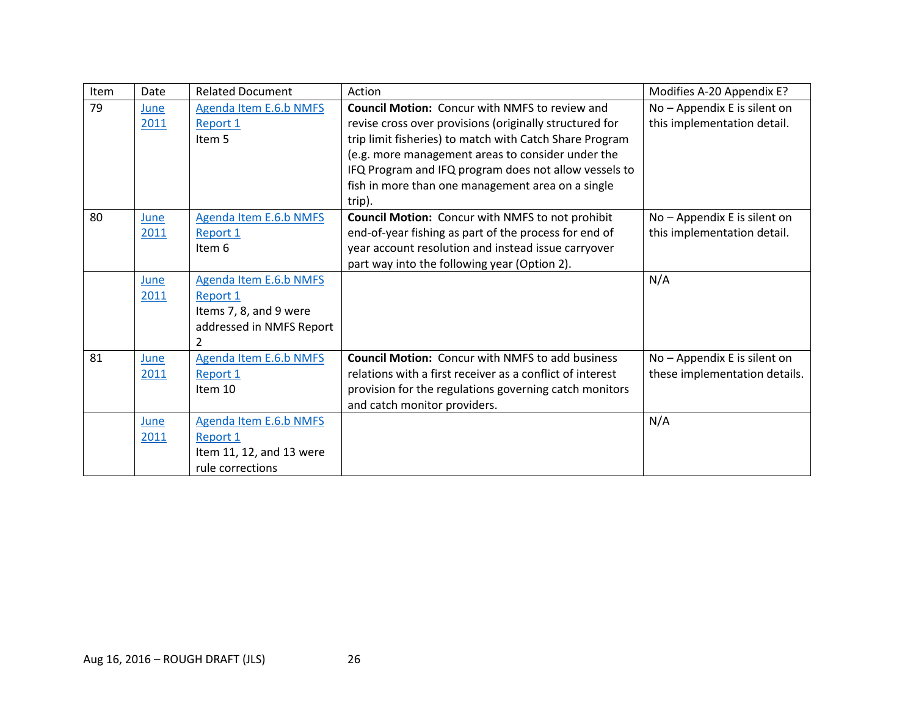| Item | Date | <b>Related Document</b>  | Action                                                    | Modifies A-20 Appendix E?     |
|------|------|--------------------------|-----------------------------------------------------------|-------------------------------|
| 79   | June | Agenda Item E.6.b NMFS   | <b>Council Motion:</b> Concur with NMFS to review and     | No - Appendix E is silent on  |
|      | 2011 | <b>Report 1</b>          | revise cross over provisions (originally structured for   | this implementation detail.   |
|      |      | Item 5                   | trip limit fisheries) to match with Catch Share Program   |                               |
|      |      |                          | (e.g. more management areas to consider under the         |                               |
|      |      |                          | IFQ Program and IFQ program does not allow vessels to     |                               |
|      |      |                          | fish in more than one management area on a single         |                               |
|      |      |                          | trip).                                                    |                               |
| 80   | June | Agenda Item E.6.b NMFS   | <b>Council Motion:</b> Concur with NMFS to not prohibit   | No - Appendix E is silent on  |
|      | 2011 | Report 1                 | end-of-year fishing as part of the process for end of     | this implementation detail.   |
|      |      | Item 6                   | year account resolution and instead issue carryover       |                               |
|      |      |                          | part way into the following year (Option 2).              |                               |
|      | June | Agenda Item E.6.b NMFS   |                                                           | N/A                           |
|      | 2011 | Report 1                 |                                                           |                               |
|      |      | Items 7, 8, and 9 were   |                                                           |                               |
|      |      | addressed in NMFS Report |                                                           |                               |
|      |      |                          |                                                           |                               |
| 81   | June | Agenda Item E.6.b NMFS   | <b>Council Motion: Concur with NMFS to add business</b>   | No - Appendix E is silent on  |
|      | 2011 | Report 1                 | relations with a first receiver as a conflict of interest | these implementation details. |
|      |      | Item 10                  | provision for the regulations governing catch monitors    |                               |
|      |      |                          | and catch monitor providers.                              |                               |
|      | June | Agenda Item E.6.b NMFS   |                                                           | N/A                           |
|      | 2011 | Report 1                 |                                                           |                               |
|      |      | Item 11, 12, and 13 were |                                                           |                               |
|      |      | rule corrections         |                                                           |                               |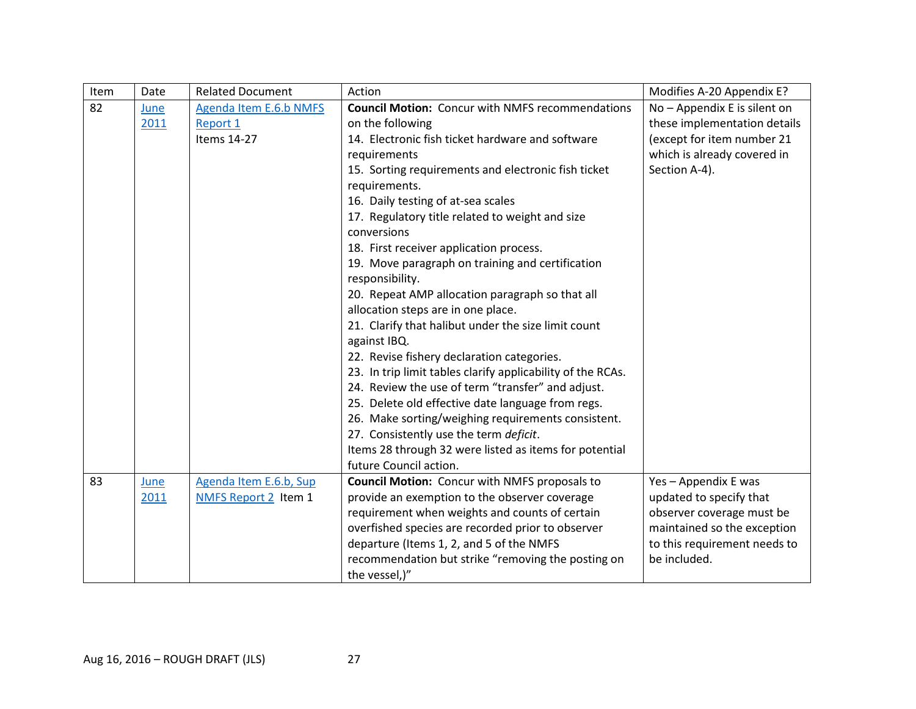| Item | Date | <b>Related Document</b> | Action                                                      | Modifies A-20 Appendix E?    |
|------|------|-------------------------|-------------------------------------------------------------|------------------------------|
| 82   | June | Agenda Item E.6.b NMFS  | <b>Council Motion:</b> Concur with NMFS recommendations     | No - Appendix E is silent on |
|      | 2011 | Report 1                | on the following                                            | these implementation details |
|      |      | Items 14-27             | 14. Electronic fish ticket hardware and software            | (except for item number 21   |
|      |      |                         | requirements                                                | which is already covered in  |
|      |      |                         | 15. Sorting requirements and electronic fish ticket         | Section A-4).                |
|      |      |                         | requirements.                                               |                              |
|      |      |                         | 16. Daily testing of at-sea scales                          |                              |
|      |      |                         | 17. Regulatory title related to weight and size             |                              |
|      |      |                         | conversions                                                 |                              |
|      |      |                         | 18. First receiver application process.                     |                              |
|      |      |                         | 19. Move paragraph on training and certification            |                              |
|      |      |                         | responsibility.                                             |                              |
|      |      |                         | 20. Repeat AMP allocation paragraph so that all             |                              |
|      |      |                         | allocation steps are in one place.                          |                              |
|      |      |                         | 21. Clarify that halibut under the size limit count         |                              |
|      |      |                         | against IBQ.                                                |                              |
|      |      |                         | 22. Revise fishery declaration categories.                  |                              |
|      |      |                         | 23. In trip limit tables clarify applicability of the RCAs. |                              |
|      |      |                         | 24. Review the use of term "transfer" and adjust.           |                              |
|      |      |                         | 25. Delete old effective date language from regs.           |                              |
|      |      |                         | 26. Make sorting/weighing requirements consistent.          |                              |
|      |      |                         | 27. Consistently use the term deficit.                      |                              |
|      |      |                         | Items 28 through 32 were listed as items for potential      |                              |
|      |      |                         | future Council action.                                      |                              |
| 83   | June | Agenda Item E.6.b, Sup  | <b>Council Motion:</b> Concur with NMFS proposals to        | Yes - Appendix E was         |
|      | 2011 | NMFS Report 2 Item 1    | provide an exemption to the observer coverage               | updated to specify that      |
|      |      |                         | requirement when weights and counts of certain              | observer coverage must be    |
|      |      |                         | overfished species are recorded prior to observer           | maintained so the exception  |
|      |      |                         | departure (Items 1, 2, and 5 of the NMFS                    | to this requirement needs to |
|      |      |                         | recommendation but strike "removing the posting on          | be included.                 |
|      |      |                         | the vessel,)"                                               |                              |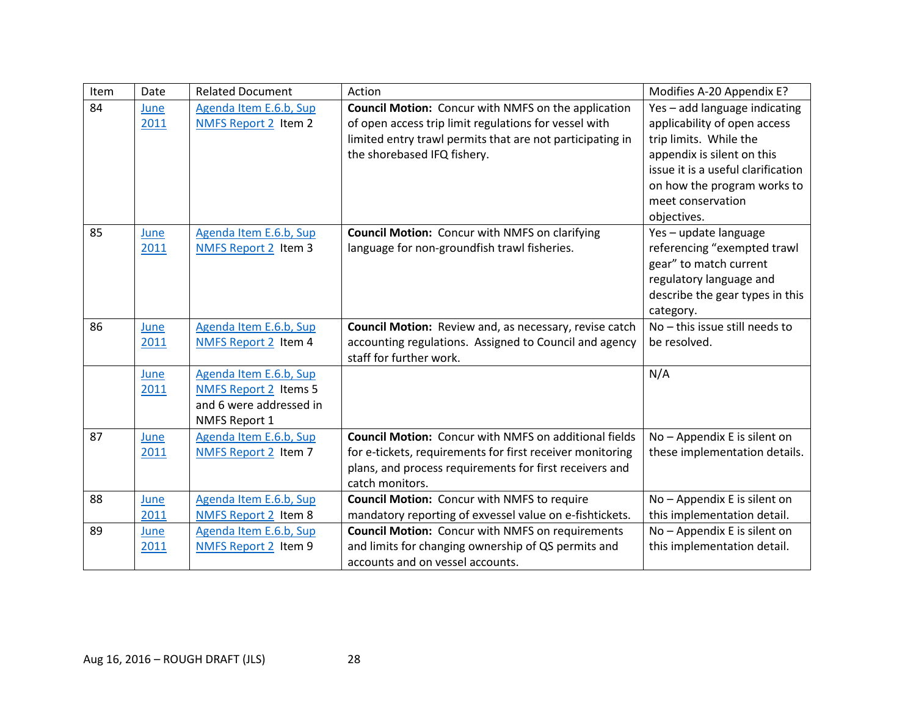| Item | Date | <b>Related Document</b>      | Action                                                        | Modifies A-20 Appendix E?          |
|------|------|------------------------------|---------------------------------------------------------------|------------------------------------|
| 84   | June | Agenda Item E.6.b, Sup       | <b>Council Motion:</b> Concur with NMFS on the application    | Yes - add language indicating      |
|      | 2011 | NMFS Report 2 Item 2         | of open access trip limit regulations for vessel with         | applicability of open access       |
|      |      |                              | limited entry trawl permits that are not participating in     | trip limits. While the             |
|      |      |                              | the shorebased IFQ fishery.                                   | appendix is silent on this         |
|      |      |                              |                                                               | issue it is a useful clarification |
|      |      |                              |                                                               | on how the program works to        |
|      |      |                              |                                                               | meet conservation                  |
|      |      |                              |                                                               | objectives.                        |
| 85   | June | Agenda Item E.6.b, Sup       | <b>Council Motion:</b> Concur with NMFS on clarifying         | Yes - update language              |
|      | 2011 | <b>NMFS Report 2 Item 3</b>  | language for non-groundfish trawl fisheries.                  | referencing "exempted trawl        |
|      |      |                              |                                                               | gear" to match current             |
|      |      |                              |                                                               | regulatory language and            |
|      |      |                              |                                                               | describe the gear types in this    |
|      |      |                              |                                                               | category.                          |
| 86   | June | Agenda Item E.6.b, Sup       | <b>Council Motion:</b> Review and, as necessary, revise catch | No - this issue still needs to     |
|      | 2011 | NMFS Report 2 Item 4         | accounting regulations. Assigned to Council and agency        | be resolved.                       |
|      |      |                              | staff for further work.                                       |                                    |
|      | June | Agenda Item E.6.b, Sup       |                                                               | N/A                                |
|      | 2011 | <b>NMFS Report 2 Items 5</b> |                                                               |                                    |
|      |      | and 6 were addressed in      |                                                               |                                    |
|      |      | NMFS Report 1                |                                                               |                                    |
| 87   | June | Agenda Item E.6.b, Sup       | <b>Council Motion: Concur with NMFS on additional fields</b>  | No - Appendix E is silent on       |
|      | 2011 | NMFS Report 2 Item 7         | for e-tickets, requirements for first receiver monitoring     | these implementation details.      |
|      |      |                              | plans, and process requirements for first receivers and       |                                    |
|      |      |                              | catch monitors.                                               |                                    |
| 88   | June | Agenda Item E.6.b, Sup       | <b>Council Motion:</b> Concur with NMFS to require            | No - Appendix E is silent on       |
|      | 2011 | <b>NMFS Report 2 Item 8</b>  | mandatory reporting of exvessel value on e-fishtickets.       | this implementation detail.        |
| 89   | June | Agenda Item E.6.b, Sup       | <b>Council Motion:</b> Concur with NMFS on requirements       | No - Appendix E is silent on       |
|      | 2011 | NMFS Report 2 Item 9         | and limits for changing ownership of QS permits and           | this implementation detail.        |
|      |      |                              | accounts and on vessel accounts.                              |                                    |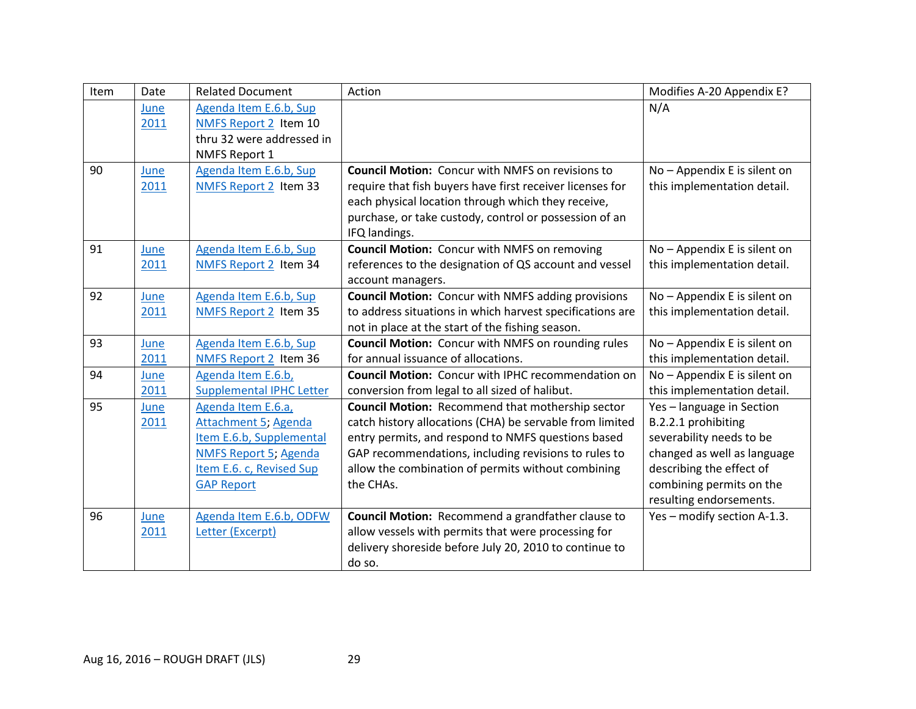| Item | Date | <b>Related Document</b>         | Action                                                    | Modifies A-20 Appendix E?    |
|------|------|---------------------------------|-----------------------------------------------------------|------------------------------|
|      | June | Agenda Item E.6.b, Sup          |                                                           | N/A                          |
|      | 2011 | NMFS Report 2 Item 10           |                                                           |                              |
|      |      | thru 32 were addressed in       |                                                           |                              |
|      |      | <b>NMFS Report 1</b>            |                                                           |                              |
| 90   | June | Agenda Item E.6.b, Sup          | <b>Council Motion: Concur with NMFS on revisions to</b>   | No - Appendix E is silent on |
|      | 2011 | NMFS Report 2 Item 33           | require that fish buyers have first receiver licenses for | this implementation detail.  |
|      |      |                                 | each physical location through which they receive,        |                              |
|      |      |                                 | purchase, or take custody, control or possession of an    |                              |
|      |      |                                 | IFQ landings.                                             |                              |
| 91   | June | Agenda Item E.6.b, Sup          | <b>Council Motion:</b> Concur with NMFS on removing       | No - Appendix E is silent on |
|      | 2011 | NMFS Report 2 Item 34           | references to the designation of QS account and vessel    | this implementation detail.  |
|      |      |                                 | account managers.                                         |                              |
| 92   | June | Agenda Item E.6.b, Sup          | <b>Council Motion:</b> Concur with NMFS adding provisions | No - Appendix E is silent on |
|      | 2011 | NMFS Report 2 Item 35           | to address situations in which harvest specifications are | this implementation detail.  |
|      |      |                                 | not in place at the start of the fishing season.          |                              |
| 93   | June | Agenda Item E.6.b, Sup          | <b>Council Motion:</b> Concur with NMFS on rounding rules | No - Appendix E is silent on |
|      | 2011 | NMFS Report 2 Item 36           | for annual issuance of allocations.                       | this implementation detail.  |
| 94   | June | Agenda Item E.6.b,              | <b>Council Motion: Concur with IPHC recommendation on</b> | No - Appendix E is silent on |
|      | 2011 | <b>Supplemental IPHC Letter</b> | conversion from legal to all sized of halibut.            | this implementation detail.  |
| 95   | June | Agenda Item E.6.a,              | <b>Council Motion: Recommend that mothership sector</b>   | Yes-language in Section      |
|      | 2011 | <b>Attachment 5; Agenda</b>     | catch history allocations (CHA) be servable from limited  | B.2.2.1 prohibiting          |
|      |      | Item E.6.b, Supplemental        | entry permits, and respond to NMFS questions based        | severability needs to be     |
|      |      | <b>NMFS Report 5; Agenda</b>    | GAP recommendations, including revisions to rules to      | changed as well as language  |
|      |      | Item E.6. c, Revised Sup        | allow the combination of permits without combining        | describing the effect of     |
|      |      | <b>GAP Report</b>               | the CHAs.                                                 | combining permits on the     |
|      |      |                                 |                                                           | resulting endorsements.      |
| 96   | June | Agenda Item E.6.b, ODFW         | Council Motion: Recommend a grandfather clause to         | Yes - modify section A-1.3.  |
|      | 2011 | Letter (Excerpt)                | allow vessels with permits that were processing for       |                              |
|      |      |                                 | delivery shoreside before July 20, 2010 to continue to    |                              |
|      |      |                                 | do so.                                                    |                              |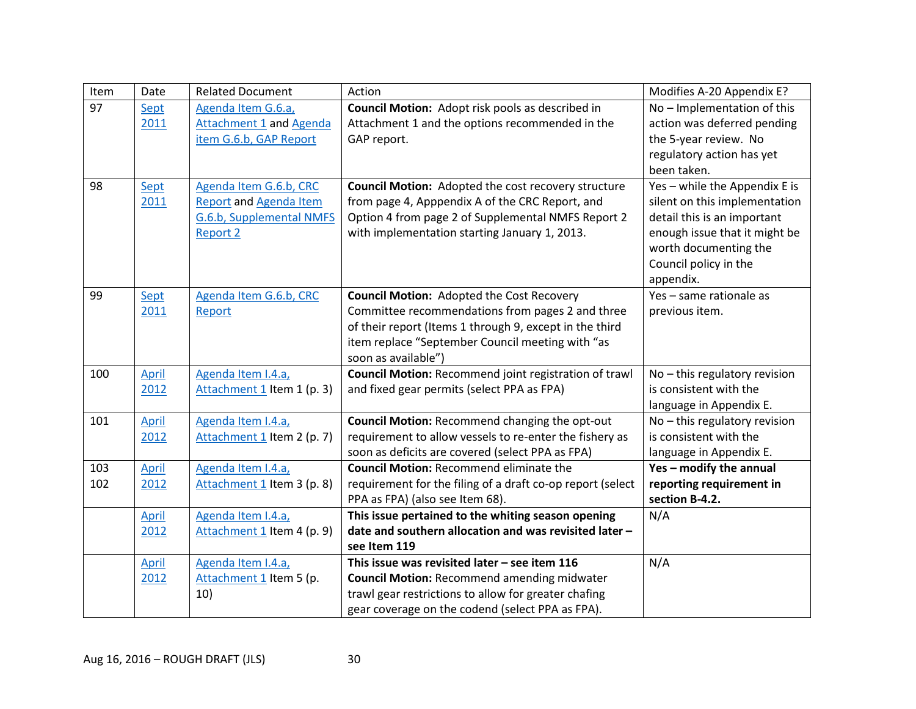| Item | Date         | <b>Related Document</b>        | Action                                                       | Modifies A-20 Appendix E?     |
|------|--------------|--------------------------------|--------------------------------------------------------------|-------------------------------|
| 97   | Sept         | Agenda Item G.6.a,             | Council Motion: Adopt risk pools as described in             | No - Implementation of this   |
|      | 2011         | <b>Attachment 1 and Agenda</b> | Attachment 1 and the options recommended in the              | action was deferred pending   |
|      |              | item G.6.b, GAP Report         | GAP report.                                                  | the 5-year review. No         |
|      |              |                                |                                                              | regulatory action has yet     |
|      |              |                                |                                                              | been taken.                   |
| 98   | Sept         | Agenda Item G.6.b, CRC         | <b>Council Motion:</b> Adopted the cost recovery structure   | Yes - while the Appendix E is |
|      | 2011         | <b>Report and Agenda Item</b>  | from page 4, Apppendix A of the CRC Report, and              | silent on this implementation |
|      |              | G.6.b, Supplemental NMFS       | Option 4 from page 2 of Supplemental NMFS Report 2           | detail this is an important   |
|      |              | <b>Report 2</b>                | with implementation starting January 1, 2013.                | enough issue that it might be |
|      |              |                                |                                                              | worth documenting the         |
|      |              |                                |                                                              | Council policy in the         |
|      |              |                                |                                                              | appendix.                     |
| 99   | Sept         | Agenda Item G.6.b, CRC         | <b>Council Motion: Adopted the Cost Recovery</b>             | Yes - same rationale as       |
|      | 2011         | Report                         | Committee recommendations from pages 2 and three             | previous item.                |
|      |              |                                | of their report (Items 1 through 9, except in the third      |                               |
|      |              |                                | item replace "September Council meeting with "as             |                               |
|      |              |                                | soon as available")                                          |                               |
| 100  | <b>April</b> | Agenda Item I.4.a,             | <b>Council Motion: Recommend joint registration of trawl</b> | No - this regulatory revision |
|      | 2012         | Attachment 1 Item 1 (p. 3)     | and fixed gear permits (select PPA as FPA)                   | is consistent with the        |
|      |              |                                |                                                              | language in Appendix E.       |
| 101  | April        | Agenda Item I.4.a,             | <b>Council Motion: Recommend changing the opt-out</b>        | No - this regulatory revision |
|      | 2012         | Attachment 1 Item 2 (p. 7)     | requirement to allow vessels to re-enter the fishery as      | is consistent with the        |
|      |              |                                | soon as deficits are covered (select PPA as FPA)             | language in Appendix E.       |
| 103  | April        | Agenda Item I.4.a,             | <b>Council Motion: Recommend eliminate the</b>               | Yes - modify the annual       |
| 102  | 2012         | Attachment 1 Item 3 (p. 8)     | requirement for the filing of a draft co-op report (select   | reporting requirement in      |
|      |              |                                | PPA as FPA) (also see Item 68).                              | section B-4.2.                |
|      | <b>April</b> | Agenda Item I.4.a,             | This issue pertained to the whiting season opening           | N/A                           |
|      | 2012         | Attachment 1 Item 4 (p. 9)     | date and southern allocation and was revisited later -       |                               |
|      |              |                                | see Item 119                                                 |                               |
|      | <b>April</b> | Agenda Item I.4.a,             | This issue was revisited later $-$ see item 116              | N/A                           |
|      | 2012         | Attachment 1 Item 5 (p.        | <b>Council Motion: Recommend amending midwater</b>           |                               |
|      |              | 10)                            | trawl gear restrictions to allow for greater chafing         |                               |
|      |              |                                | gear coverage on the codend (select PPA as FPA).             |                               |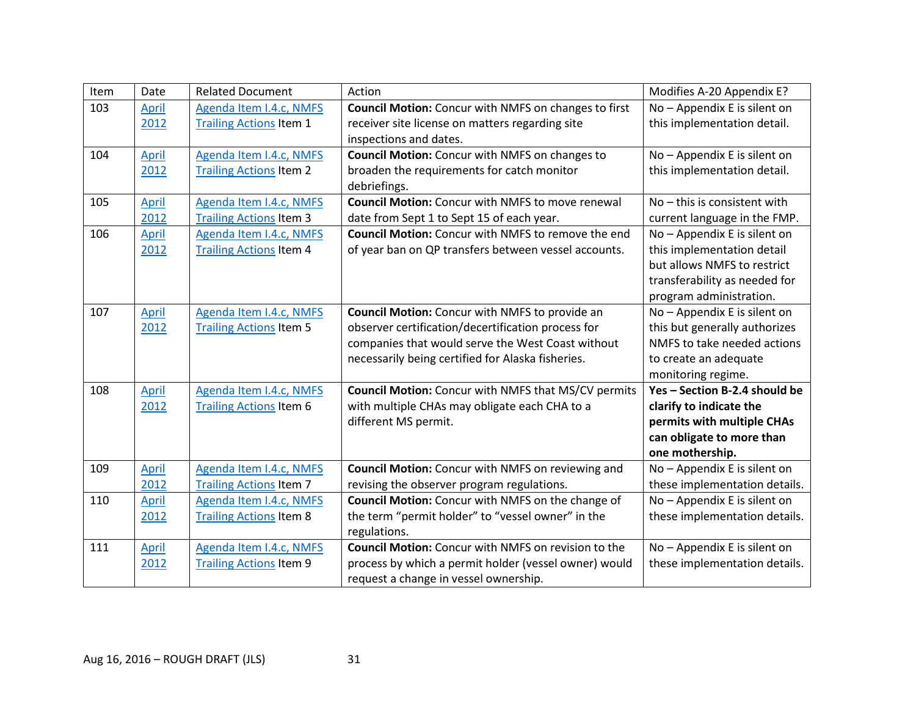| Item | Date         | <b>Related Document</b>        | Action                                                      | Modifies A-20 Appendix E?      |
|------|--------------|--------------------------------|-------------------------------------------------------------|--------------------------------|
| 103  | April        | Agenda Item I.4.c, NMFS        | <b>Council Motion:</b> Concur with NMFS on changes to first | No - Appendix E is silent on   |
|      | 2012         | <b>Trailing Actions Item 1</b> | receiver site license on matters regarding site             | this implementation detail.    |
|      |              |                                | inspections and dates.                                      |                                |
| 104  | <b>April</b> | Agenda Item I.4.c, NMFS        | <b>Council Motion:</b> Concur with NMFS on changes to       | No - Appendix E is silent on   |
|      | 2012         | <b>Trailing Actions Item 2</b> | broaden the requirements for catch monitor                  | this implementation detail.    |
|      |              |                                | debriefings.                                                |                                |
| 105  | <b>April</b> | Agenda Item I.4.c, NMFS        | <b>Council Motion:</b> Concur with NMFS to move renewal     | $No$ – this is consistent with |
|      | 2012         | <b>Trailing Actions Item 3</b> | date from Sept 1 to Sept 15 of each year.                   | current language in the FMP.   |
| 106  | <b>April</b> | Agenda Item I.4.c, NMFS        | <b>Council Motion:</b> Concur with NMFS to remove the end   | No - Appendix E is silent on   |
|      | 2012         | <b>Trailing Actions Item 4</b> | of year ban on QP transfers between vessel accounts.        | this implementation detail     |
|      |              |                                |                                                             | but allows NMFS to restrict    |
|      |              |                                |                                                             | transferability as needed for  |
|      |              |                                |                                                             | program administration.        |
| 107  | <b>April</b> | Agenda Item I.4.c, NMFS        | <b>Council Motion:</b> Concur with NMFS to provide an       | No - Appendix E is silent on   |
|      | 2012         | <b>Trailing Actions Item 5</b> | observer certification/decertification process for          | this but generally authorizes  |
|      |              |                                | companies that would serve the West Coast without           | NMFS to take needed actions    |
|      |              |                                | necessarily being certified for Alaska fisheries.           | to create an adequate          |
|      |              |                                |                                                             | monitoring regime.             |
| 108  | April        | Agenda Item I.4.c, NMFS        | <b>Council Motion:</b> Concur with NMFS that MS/CV permits  | Yes - Section B-2.4 should be  |
|      | 2012         | <b>Trailing Actions Item 6</b> | with multiple CHAs may obligate each CHA to a               | clarify to indicate the        |
|      |              |                                | different MS permit.                                        | permits with multiple CHAs     |
|      |              |                                |                                                             | can obligate to more than      |
|      |              |                                |                                                             | one mothership.                |
| 109  | <b>April</b> | Agenda Item I.4.c, NMFS        | <b>Council Motion:</b> Concur with NMFS on reviewing and    | No - Appendix E is silent on   |
|      | 2012         | <b>Trailing Actions Item 7</b> | revising the observer program regulations.                  | these implementation details.  |
| 110  | April        | Agenda Item I.4.c, NMFS        | Council Motion: Concur with NMFS on the change of           | No - Appendix E is silent on   |
|      | 2012         | <b>Trailing Actions Item 8</b> | the term "permit holder" to "vessel owner" in the           | these implementation details.  |
|      |              |                                | regulations.                                                |                                |
| 111  | <b>April</b> | Agenda Item I.4.c, NMFS        | <b>Council Motion:</b> Concur with NMFS on revision to the  | No - Appendix E is silent on   |
|      | 2012         | <b>Trailing Actions Item 9</b> | process by which a permit holder (vessel owner) would       | these implementation details.  |
|      |              |                                | request a change in vessel ownership.                       |                                |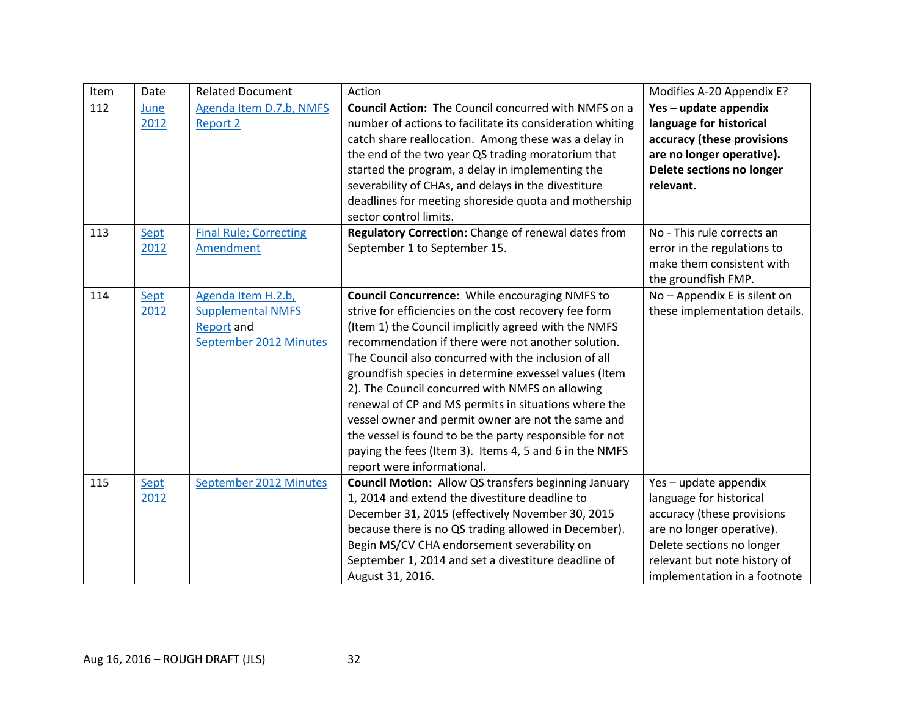| Item | Date | <b>Related Document</b>       | Action                                                      | Modifies A-20 Appendix E?     |
|------|------|-------------------------------|-------------------------------------------------------------|-------------------------------|
| 112  | June | Agenda Item D.7.b, NMFS       | <b>Council Action:</b> The Council concurred with NMFS on a | Yes - update appendix         |
|      | 2012 | <b>Report 2</b>               | number of actions to facilitate its consideration whiting   | language for historical       |
|      |      |                               | catch share reallocation. Among these was a delay in        | accuracy (these provisions    |
|      |      |                               | the end of the two year QS trading moratorium that          | are no longer operative).     |
|      |      |                               | started the program, a delay in implementing the            | Delete sections no longer     |
|      |      |                               | severability of CHAs, and delays in the divestiture         | relevant.                     |
|      |      |                               | deadlines for meeting shoreside quota and mothership        |                               |
|      |      |                               | sector control limits.                                      |                               |
| 113  | Sept | <b>Final Rule; Correcting</b> | Regulatory Correction: Change of renewal dates from         | No - This rule corrects an    |
|      | 2012 | Amendment                     | September 1 to September 15.                                | error in the regulations to   |
|      |      |                               |                                                             | make them consistent with     |
|      |      |                               |                                                             | the groundfish FMP.           |
| 114  | Sept | Agenda Item H.2.b,            | <b>Council Concurrence:</b> While encouraging NMFS to       | No - Appendix E is silent on  |
|      | 2012 | <b>Supplemental NMFS</b>      | strive for efficiencies on the cost recovery fee form       | these implementation details. |
|      |      | <b>Report and</b>             | (Item 1) the Council implicitly agreed with the NMFS        |                               |
|      |      | September 2012 Minutes        | recommendation if there were not another solution.          |                               |
|      |      |                               | The Council also concurred with the inclusion of all        |                               |
|      |      |                               | groundfish species in determine exvessel values (Item       |                               |
|      |      |                               | 2). The Council concurred with NMFS on allowing             |                               |
|      |      |                               | renewal of CP and MS permits in situations where the        |                               |
|      |      |                               | vessel owner and permit owner are not the same and          |                               |
|      |      |                               | the vessel is found to be the party responsible for not     |                               |
|      |      |                               | paying the fees (Item 3). Items 4, 5 and 6 in the NMFS      |                               |
|      |      |                               | report were informational.                                  |                               |
| 115  | Sept | September 2012 Minutes        | <b>Council Motion:</b> Allow QS transfers beginning January | Yes - update appendix         |
|      | 2012 |                               | 1, 2014 and extend the divestiture deadline to              | language for historical       |
|      |      |                               | December 31, 2015 (effectively November 30, 2015            | accuracy (these provisions    |
|      |      |                               | because there is no QS trading allowed in December).        | are no longer operative).     |
|      |      |                               | Begin MS/CV CHA endorsement severability on                 | Delete sections no longer     |
|      |      |                               | September 1, 2014 and set a divestiture deadline of         | relevant but note history of  |
|      |      |                               | August 31, 2016.                                            | implementation in a footnote  |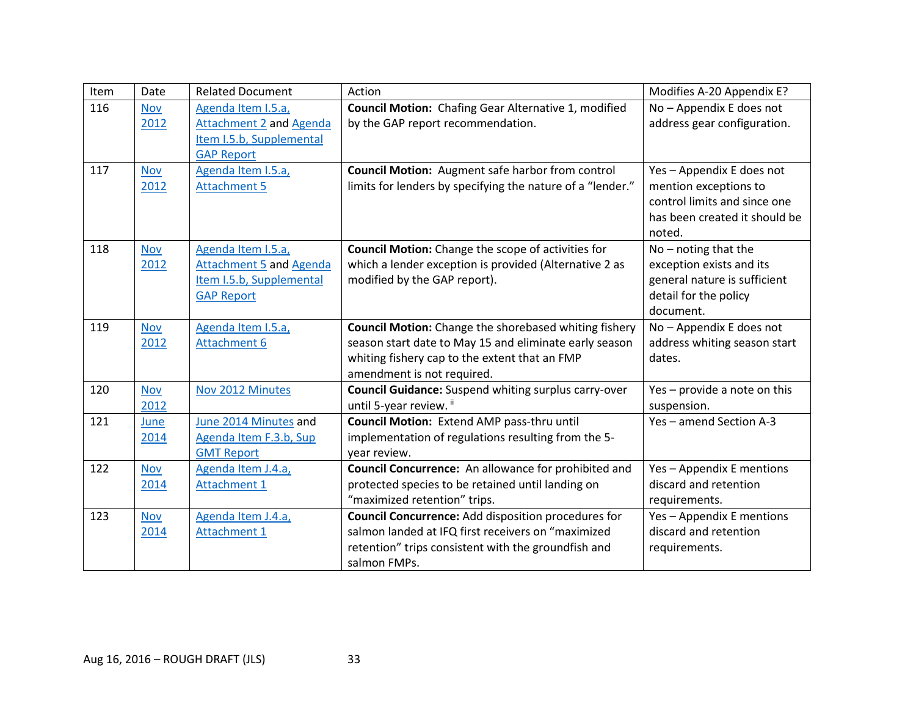| Item | Date       | <b>Related Document</b>        | Action                                                       | Modifies A-20 Appendix E?     |
|------|------------|--------------------------------|--------------------------------------------------------------|-------------------------------|
| 116  | <b>Nov</b> | Agenda Item I.5.a,             | Council Motion: Chafing Gear Alternative 1, modified         | No - Appendix E does not      |
|      | 2012       | <b>Attachment 2 and Agenda</b> | by the GAP report recommendation.                            | address gear configuration.   |
|      |            | Item I.5.b, Supplemental       |                                                              |                               |
|      |            | <b>GAP Report</b>              |                                                              |                               |
| 117  | <b>Nov</b> | Agenda Item I.5.a,             | <b>Council Motion:</b> Augment safe harbor from control      | Yes - Appendix E does not     |
|      | 2012       | <b>Attachment 5</b>            | limits for lenders by specifying the nature of a "lender."   | mention exceptions to         |
|      |            |                                |                                                              | control limits and since one  |
|      |            |                                |                                                              | has been created it should be |
|      |            |                                |                                                              | noted.                        |
| 118  | <b>Nov</b> | Agenda Item I.5.a,             | <b>Council Motion:</b> Change the scope of activities for    | $No$ – noting that the        |
|      | 2012       | <b>Attachment 5 and Agenda</b> | which a lender exception is provided (Alternative 2 as       | exception exists and its      |
|      |            | Item I.5.b, Supplemental       | modified by the GAP report).                                 | general nature is sufficient  |
|      |            | <b>GAP Report</b>              |                                                              | detail for the policy         |
|      |            |                                |                                                              | document.                     |
| 119  | <b>Nov</b> | Agenda Item I.5.a,             | <b>Council Motion:</b> Change the shorebased whiting fishery | No - Appendix E does not      |
|      | 2012       | <b>Attachment 6</b>            | season start date to May 15 and eliminate early season       | address whiting season start  |
|      |            |                                | whiting fishery cap to the extent that an FMP                | dates.                        |
|      |            |                                | amendment is not required.                                   |                               |
| 120  | <b>Nov</b> | Nov 2012 Minutes               | <b>Council Guidance:</b> Suspend whiting surplus carry-over  | Yes - provide a note on this  |
|      | 2012       |                                | until 5-year review. ii                                      | suspension.                   |
| 121  | June       | June 2014 Minutes and          | Council Motion: Extend AMP pass-thru until                   | Yes - amend Section A-3       |
|      | 2014       | Agenda Item F.3.b, Sup         | implementation of regulations resulting from the 5-          |                               |
|      |            | <b>GMT Report</b>              | year review.                                                 |                               |
| 122  | <b>Nov</b> | Agenda Item J.4.a,             | Council Concurrence: An allowance for prohibited and         | Yes - Appendix E mentions     |
|      | 2014       | <b>Attachment 1</b>            | protected species to be retained until landing on            | discard and retention         |
|      |            |                                | "maximized retention" trips.                                 | requirements.                 |
| 123  | <b>Nov</b> | Agenda Item J.4.a,             | <b>Council Concurrence: Add disposition procedures for</b>   | Yes - Appendix E mentions     |
|      | 2014       | <b>Attachment 1</b>            | salmon landed at IFQ first receivers on "maximized           | discard and retention         |
|      |            |                                | retention" trips consistent with the groundfish and          | requirements.                 |
|      |            |                                | salmon FMPs.                                                 |                               |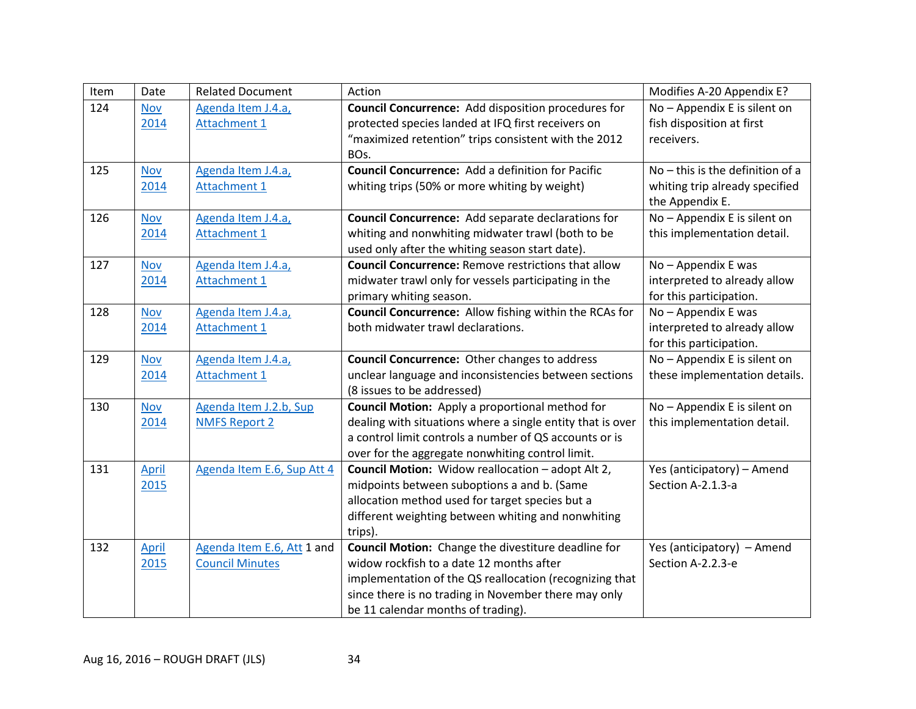| Item | Date       | <b>Related Document</b>    | Action                                                        | Modifies A-20 Appendix E?          |
|------|------------|----------------------------|---------------------------------------------------------------|------------------------------------|
| 124  | <b>Nov</b> | Agenda Item J.4.a,         | <b>Council Concurrence:</b> Add disposition procedures for    | No - Appendix E is silent on       |
|      | 2014       | <b>Attachment 1</b>        | protected species landed at IFQ first receivers on            | fish disposition at first          |
|      |            |                            | "maximized retention" trips consistent with the 2012          | receivers.                         |
|      |            |                            | BO <sub>s</sub> .                                             |                                    |
| 125  | <b>Nov</b> | Agenda Item J.4.a,         | <b>Council Concurrence:</b> Add a definition for Pacific      | $No$ – this is the definition of a |
|      | 2014       | <b>Attachment 1</b>        | whiting trips (50% or more whiting by weight)                 | whiting trip already specified     |
|      |            |                            |                                                               | the Appendix E.                    |
| 126  | <b>Nov</b> | Agenda Item J.4.a,         | Council Concurrence: Add separate declarations for            | No - Appendix E is silent on       |
|      | 2014       | <b>Attachment 1</b>        | whiting and nonwhiting midwater trawl (both to be             | this implementation detail.        |
|      |            |                            | used only after the whiting season start date).               |                                    |
| 127  | <b>Nov</b> | Agenda Item J.4.a,         | <b>Council Concurrence: Remove restrictions that allow</b>    | No - Appendix E was                |
|      | 2014       | <b>Attachment 1</b>        | midwater trawl only for vessels participating in the          | interpreted to already allow       |
|      |            |                            | primary whiting season.                                       | for this participation.            |
| 128  | <b>Nov</b> | Agenda Item J.4.a,         | <b>Council Concurrence:</b> Allow fishing within the RCAs for | No - Appendix E was                |
|      | 2014       | <b>Attachment 1</b>        | both midwater trawl declarations.                             | interpreted to already allow       |
|      |            |                            |                                                               | for this participation.            |
| 129  | <b>Nov</b> | Agenda Item J.4.a,         | <b>Council Concurrence:</b> Other changes to address          | No - Appendix E is silent on       |
|      | 2014       | <b>Attachment 1</b>        | unclear language and inconsistencies between sections         | these implementation details.      |
|      |            |                            | (8 issues to be addressed)                                    |                                    |
| 130  | <b>Nov</b> | Agenda Item J.2.b, Sup     | <b>Council Motion:</b> Apply a proportional method for        | No - Appendix E is silent on       |
|      | 2014       | <b>NMFS Report 2</b>       | dealing with situations where a single entity that is over    | this implementation detail.        |
|      |            |                            | a control limit controls a number of QS accounts or is        |                                    |
|      |            |                            | over for the aggregate nonwhiting control limit.              |                                    |
| 131  | April      | Agenda Item E.6, Sup Att 4 | Council Motion: Widow reallocation - adopt Alt 2,             | Yes (anticipatory) - Amend         |
|      | 2015       |                            | midpoints between suboptions a and b. (Same                   | Section A-2.1.3-a                  |
|      |            |                            | allocation method used for target species but a               |                                    |
|      |            |                            | different weighting between whiting and nonwhiting            |                                    |
|      |            |                            | trips).                                                       |                                    |
| 132  | April      | Agenda Item E.6, Att 1 and | Council Motion: Change the divestiture deadline for           | Yes (anticipatory) - Amend         |
|      | 2015       | <b>Council Minutes</b>     | widow rockfish to a date 12 months after                      | Section A-2.2.3-e                  |
|      |            |                            | implementation of the QS reallocation (recognizing that       |                                    |
|      |            |                            | since there is no trading in November there may only          |                                    |
|      |            |                            | be 11 calendar months of trading).                            |                                    |